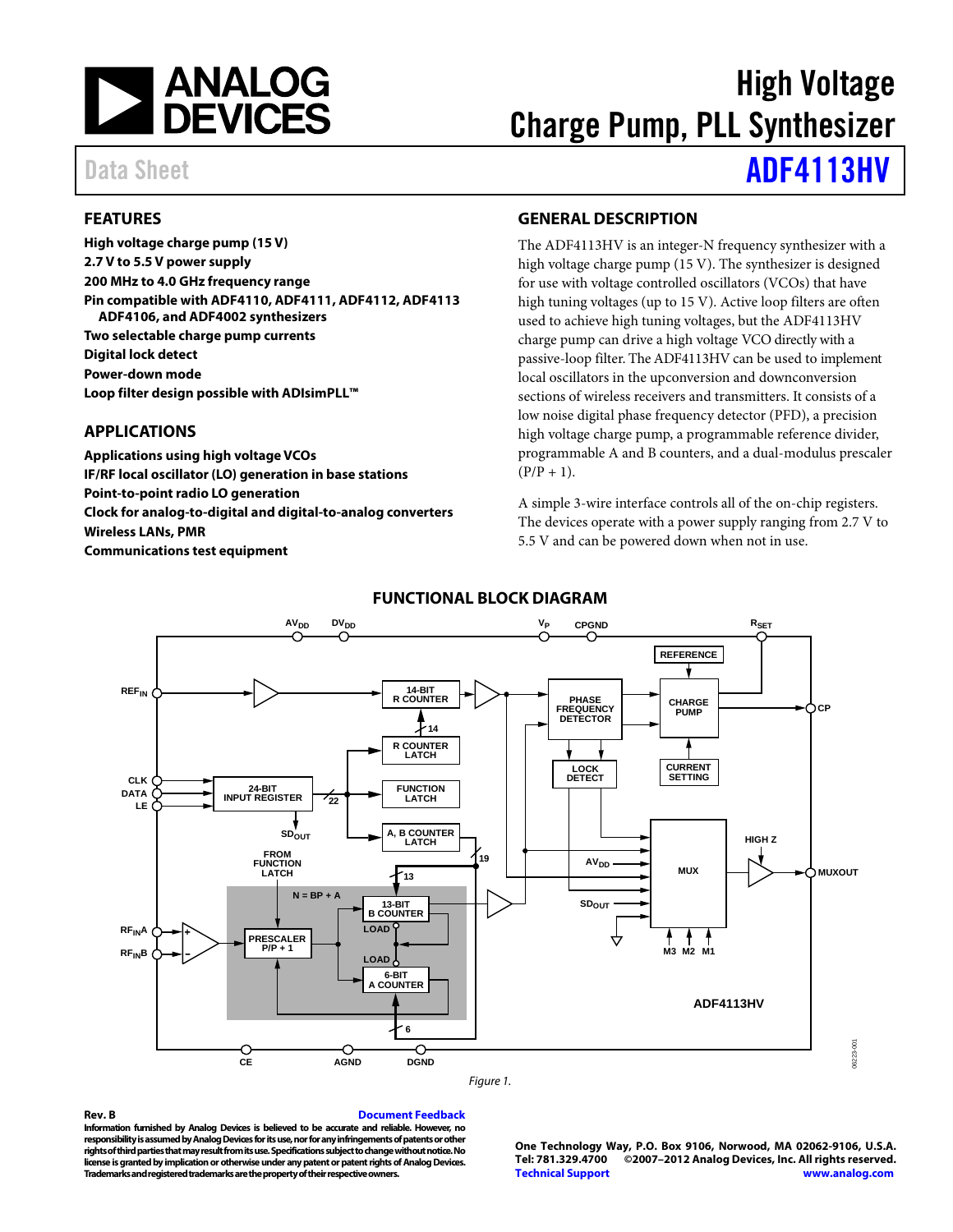

# High Voltage Charge Pump, PLL Synthesizer

# Data Sheet **[ADF4113HV](http://www.analog.com/ADF4113HV)**

# <span id="page-0-0"></span>**FEATURES**

**High voltage charge pump (15 V) 2.7 V to 5.5 V power supply 200 MHz to 4.0 GHz frequency range Pin compatible with ADF4110, ADF4111, ADF4112, ADF4113 ADF4106, and ADF4002 synthesizers Two selectable charge pump currents Digital lock detect Power-down mode Loop filter design possible with ADIsimPLL™**

### <span id="page-0-1"></span>**APPLICATIONS**

**Applications using high voltage VCOs IF/RF local oscillator (LO) generation in base stations Point-to-point radio LO generation Clock for analog-to-digital and digital-to-analog converters Wireless LANs, PMR Communications test equipment**

### **GENERAL DESCRIPTION**

The ADF4113HV is an integer-N frequency synthesizer with a high voltage charge pump (15 V). The synthesizer is designed for use with voltage controlled oscillators (VCOs) that have high tuning voltages (up to 15 V). Active loop filters are often used to achieve high tuning voltages, but the ADF4113HV charge pump can drive a high voltage VCO directly with a passive-loop filter. The ADF4113HV can be used to implement local oscillators in the upconversion and downconversion sections of wireless receivers and transmitters. It consists of a low noise digital phase frequency detector (PFD), a precision high voltage charge pump, a programmable reference divider, programmable A and B counters, and a dual-modulus prescaler  $(P/P + 1)$ .

A simple 3-wire interface controls all of the on-chip registers. The devices operate with a power supply ranging from 2.7 V to 5.5 V and can be powered down when not in use.

<span id="page-0-2"></span>

### **FUNCTIONAL BLOCK DIAGRAM**

**Rev. B [Document Feedback](https://form.analog.com/Form_Pages/feedback/documentfeedback.aspx?doc=ADF4113HV.pdf&page=%201&product=ADF4113HV&rev=B) Information furnished by Analog Devices is believed to be accurate and reliable. However, no responsibility is assumed by Analog Devices for its use, nor for any infringements of patents or other rights of third parties that may result from its use. Specifications subject to change without notice. No license is granted by implication or otherwise under any patent or patent rights of Analog Devices. Trademarks and registered trademarks are the property of their respective owners.**

**One Technology Way, P.O. Box 9106, Norwood, MA 02062-9106, U.S.A. Tel: 781.329.4700 ©2007–2012 Analog Devices, Inc. All rights reserved. [Technical Support](http://www.analog.com/en/content/technical_support_page/fca.html) [www.analog.com](http://www.analog.com/)**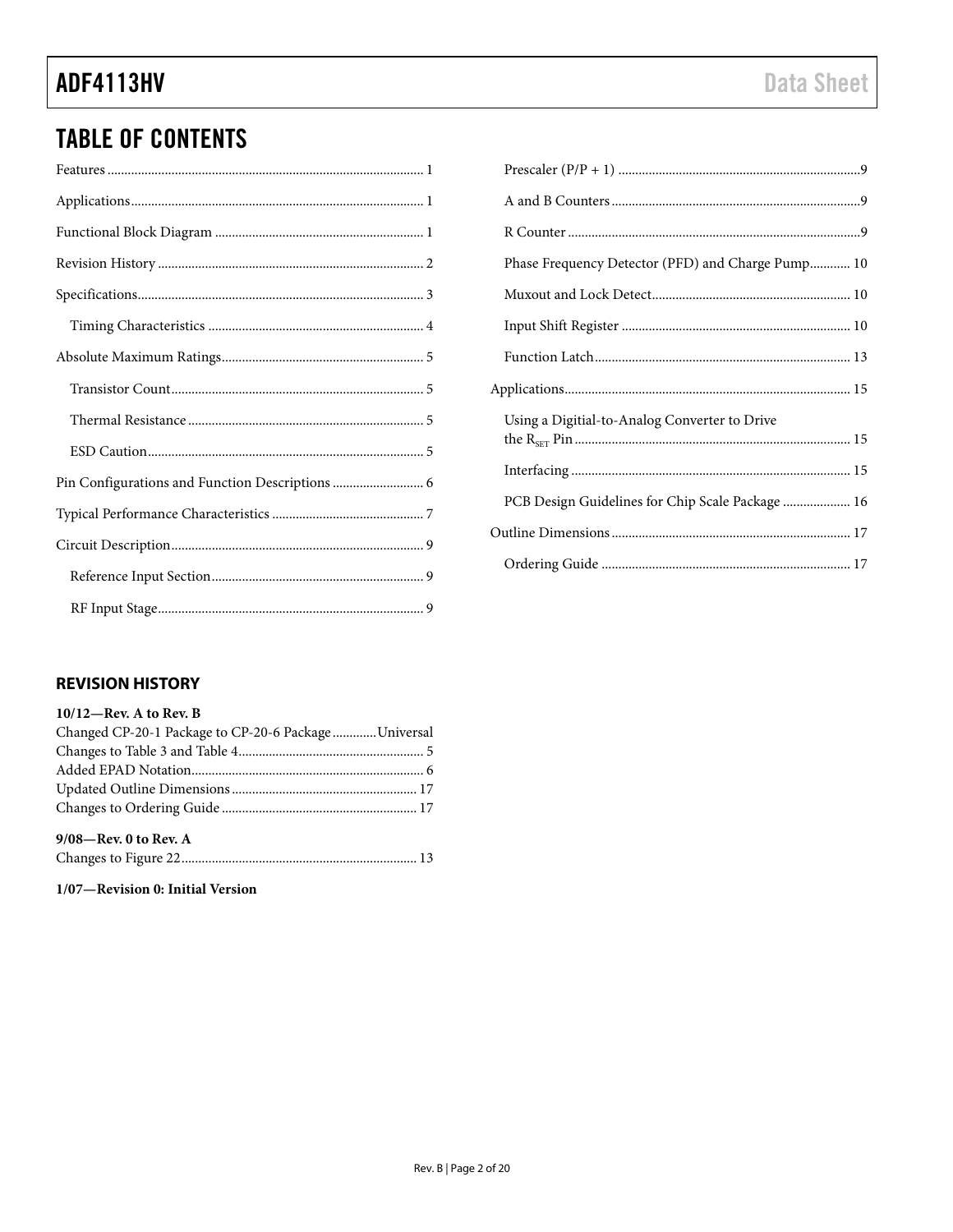# **TABLE OF CONTENTS**

| Pin Configurations and Function Descriptions  6 |
|-------------------------------------------------|
|                                                 |
|                                                 |
|                                                 |
|                                                 |

| Phase Frequency Detector (PFD) and Charge Pump 10 |  |
|---------------------------------------------------|--|
|                                                   |  |
|                                                   |  |
|                                                   |  |
|                                                   |  |
| Using a Digitial-to-Analog Converter to Drive     |  |
|                                                   |  |
|                                                   |  |
| PCB Design Guidelines for Chip Scale Package  16  |  |
|                                                   |  |
|                                                   |  |
|                                                   |  |

# <span id="page-1-0"></span>**REVISION HISTORY**

| $10/12$ —Rev. A to Rev. B                             |  |
|-------------------------------------------------------|--|
| Changed CP-20-1 Package to CP-20-6 Package  Universal |  |
|                                                       |  |
|                                                       |  |
|                                                       |  |
|                                                       |  |
| 9/08-Rev. 0 to Rev. A                                 |  |
|                                                       |  |

1/07-Revision 0: Initial Version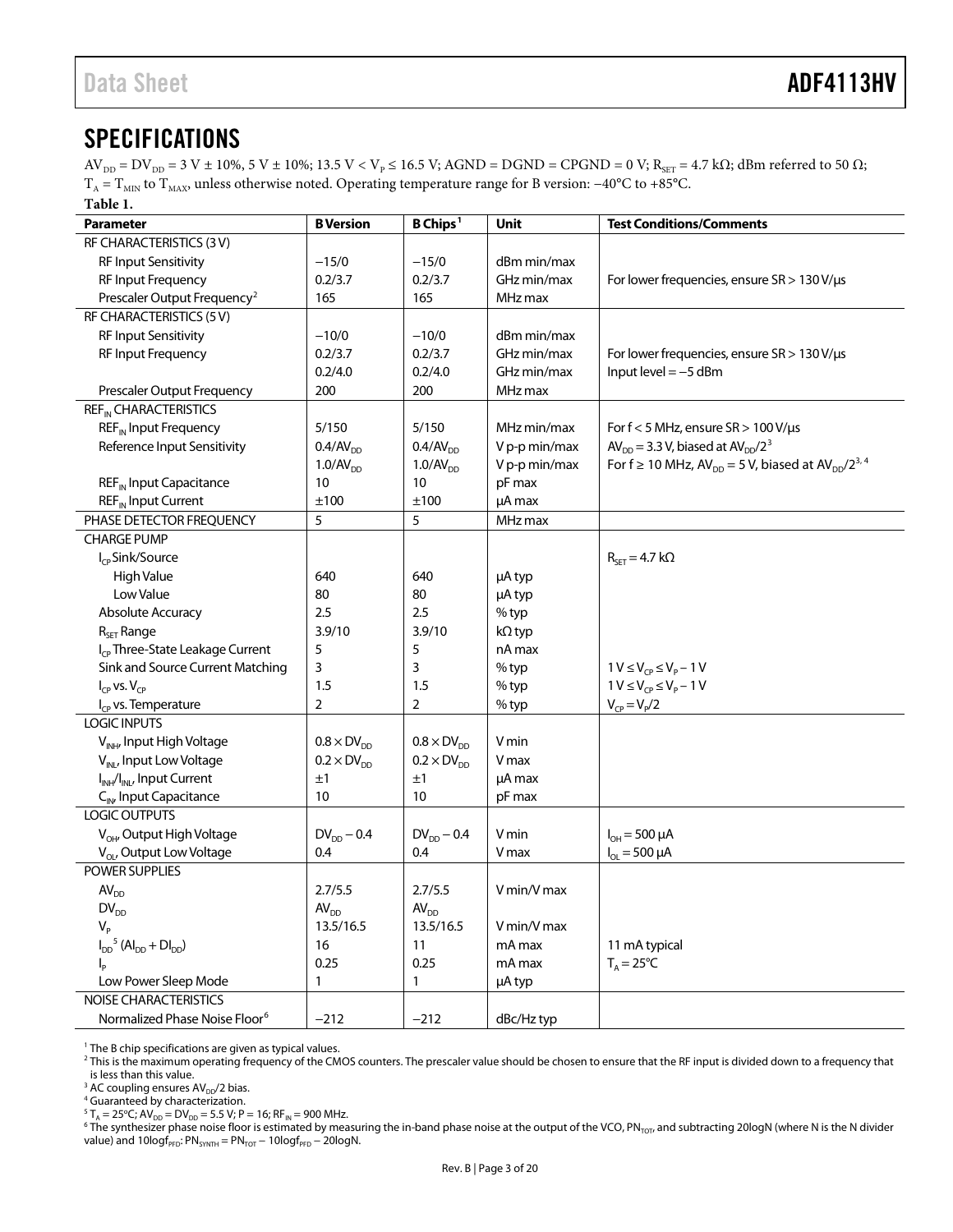# <span id="page-2-0"></span>**SPECIFICATIONS**

 $AV_{DD} = DV_{DD} = 3 V ± 10%, 5 V ± 10%; 13.5 V < V_{P} \le 16.5 V; AGND = DGND = CPGND = 0 V; R_{SET} = 4.7 kΩ; dBm referred to 50 Ω;$  $T_A = T_{MIN}$  to  $T_{MAX}$ , unless otherwise noted. Operating temperature range for B version: −40°C to +85°C. **Table 1.** 

| Parameter                                          | <b>B</b> Version        | B Chips <sup>1</sup> | Unit          | <b>Test Conditions/Comments</b>                                  |
|----------------------------------------------------|-------------------------|----------------------|---------------|------------------------------------------------------------------|
| RF CHARACTERISTICS (3V)                            |                         |                      |               |                                                                  |
| RF Input Sensitivity                               | $-15/0$                 | $-15/0$              | dBm min/max   |                                                                  |
| RF Input Frequency                                 | 0.2/3.7                 | 0.2/3.7              | GHz min/max   | For lower frequencies, ensure $SR > 130 V/\mu s$                 |
| Prescaler Output Frequency <sup>2</sup>            | 165                     | 165                  | MHz max       |                                                                  |
| RF CHARACTERISTICS (5V)                            |                         |                      |               |                                                                  |
| RF Input Sensitivity                               | $-10/0$                 | $-10/0$              | dBm min/max   |                                                                  |
| RF Input Frequency                                 | 0.2/3.7                 | 0.2/3.7              | GHz min/max   | For lower frequencies, ensure $SR > 130 V/\mu s$                 |
|                                                    | 0.2/4.0                 | 0.2/4.0              | GHz min/max   | Input level $=-5$ dBm                                            |
| Prescaler Output Frequency                         | 200                     | 200                  | MHz max       |                                                                  |
| REF <sub>IN</sub> CHARACTERISTICS                  |                         |                      |               |                                                                  |
| REF <sub>IN</sub> Input Frequency                  | 5/150                   | 5/150                | MHz min/max   | For $f < 5$ MHz, ensure $SR > 100$ V/ $\mu s$                    |
| Reference Input Sensitivity                        | $0.4$ /AV <sub>DD</sub> | 0.4/AV <sub>DD</sub> | V p-p min/max | $AV_{DD} = 3.3 V$ , biased at $AV_{DD}/2^3$                      |
|                                                    | 1.0/AV <sub>DD</sub>    | 1.0/AV <sub>DD</sub> | V p-p min/max | For $f \ge 10$ MHz, $AV_{DD} = 5$ V, biased at $AV_{DD}/2^{3.4}$ |
| REF <sub>IN</sub> Input Capacitance                | 10                      | 10                   | pF max        |                                                                  |
| REF <sub>IN</sub> Input Current                    | ±100                    | ±100                 | µA max        |                                                                  |
| PHASE DETECTOR FREQUENCY                           | 5                       | 5                    | MHz max       |                                                                  |
| <b>CHARGE PUMP</b>                                 |                         |                      |               |                                                                  |
| I <sub>CP</sub> Sink/Source                        |                         |                      |               | $R_{\text{SET}} = 4.7 \text{ k}\Omega$                           |
| <b>High Value</b>                                  | 640                     | 640                  | µA typ        |                                                                  |
| Low Value                                          | 80                      | 80                   | µA typ        |                                                                  |
| Absolute Accuracy                                  | 2.5                     | 2.5                  | % typ         |                                                                  |
| $R_{SET}$ Range                                    | 3.9/10                  | 3.9/10               | $k\Omega$ typ |                                                                  |
| I <sub>CP</sub> Three-State Leakage Current        | 5                       | 5                    | nA max        |                                                                  |
| Sink and Source Current Matching                   | 3                       | 3                    | % typ         | $1 V \le V_{CP} \le V_{P} - 1 V$                                 |
| $I_{CP}$ vs. $V_{CP}$                              | 1.5                     | 1.5                  | % typ         | $1 V \le V_{CP} \le V_P - 1 V$                                   |
| I <sub>CP</sub> vs. Temperature                    | $\overline{2}$          | 2                    | % typ         | $V_{CP} = V_{P}/2$                                               |
| <b>LOGIC INPUTS</b>                                |                         |                      |               |                                                                  |
| V <sub>INH</sub> , Input High Voltage              | $0.8 \times DV_{DD}$    | $0.8 \times DV_{DD}$ | V min         |                                                                  |
| V <sub>INL</sub> , Input Low Voltage               | $0.2 \times DV_{DD}$    | $0.2 \times DV_{DD}$ | V max         |                                                                  |
| I <sub>INH</sub> /I <sub>INL</sub> , Input Current | ±1                      | ±1                   | µA max        |                                                                  |
| C <sub>IN</sub> , Input Capacitance                | 10                      | 10                   | pF max        |                                                                  |
| LOGIC OUTPUTS                                      |                         |                      |               |                                                                  |
| V <sub>OH</sub> , Output High Voltage              | $DV_{DD} - 0.4$         | $DV_{DD} - 0.4$      | V min         | $I_{OH} = 500 \mu A$                                             |
| V <sub>OL</sub> , Output Low Voltage               | 0.4                     | 0.4                  | V max         | $I_{OL} = 500 \mu A$                                             |
| POWER SUPPLIES                                     |                         |                      |               |                                                                  |
| AV <sub>DD</sub>                                   | 2.7/5.5                 | 2.7/5.5              | V min/V max   |                                                                  |
| $\textsf{DV}_\textsf{DD}$                          | AV <sub>DD</sub>        | AV <sub>DD</sub>     |               |                                                                  |
| $V_{\rm p}$                                        | 13.5/16.5               | 13.5/16.5            | V min/V max   |                                                                  |
| $I_{DD}^5$ (Al <sub>DD</sub> + Dl <sub>DD</sub> )  | 16                      | 11                   | mA max        | 11 mA typical                                                    |
| $I_{\rm p}$                                        | 0.25                    | 0.25                 | mA max        | $T_A = 25^{\circ}C$                                              |
| Low Power Sleep Mode                               | 1                       | 1                    | µA typ        |                                                                  |
| NOISE CHARACTERISTICS                              |                         |                      |               |                                                                  |
| Normalized Phase Noise Floor <sup>6</sup>          | $-212$                  | $-212$               | dBc/Hz typ    |                                                                  |

<span id="page-2-1"></span><sup>1</sup> The B chip specifications are given as typical values.

<span id="page-2-2"></span><sup>2</sup> This is the maximum operating frequency of the CMOS counters. The prescaler value should be chosen to ensure that the RF input is divided down to a frequency that <sup>2</sup> This is the maximum operating frequency that

is less than this value.<br><sup>3</sup> AC coupling ensures  $AV_{DD}/2$  bias.

<span id="page-2-4"></span><span id="page-2-3"></span><sup>4</sup> Guaranteed by characterization.

<span id="page-2-5"></span> $^{5}$  T<sub>A</sub> = 25<sup>o</sup>C; AV<sub>DD</sub> = DV<sub>DD</sub> = 5.5 V; P = 16; RF<sub>IN</sub> = 900 MHz.

<span id="page-2-6"></span> $6$  The synthesizer phase noise floor is estimated by measuring the in-band phase noise at the output of the VCO, PN<sub>TOT</sub>, and subtracting 20logN (where N is the N divider value) and 10logf<sub>PFD</sub>: PN<sub>SYNTH</sub> = PN<sub>TOT</sub> - 10logf<sub>PFD</sub> - 20logN.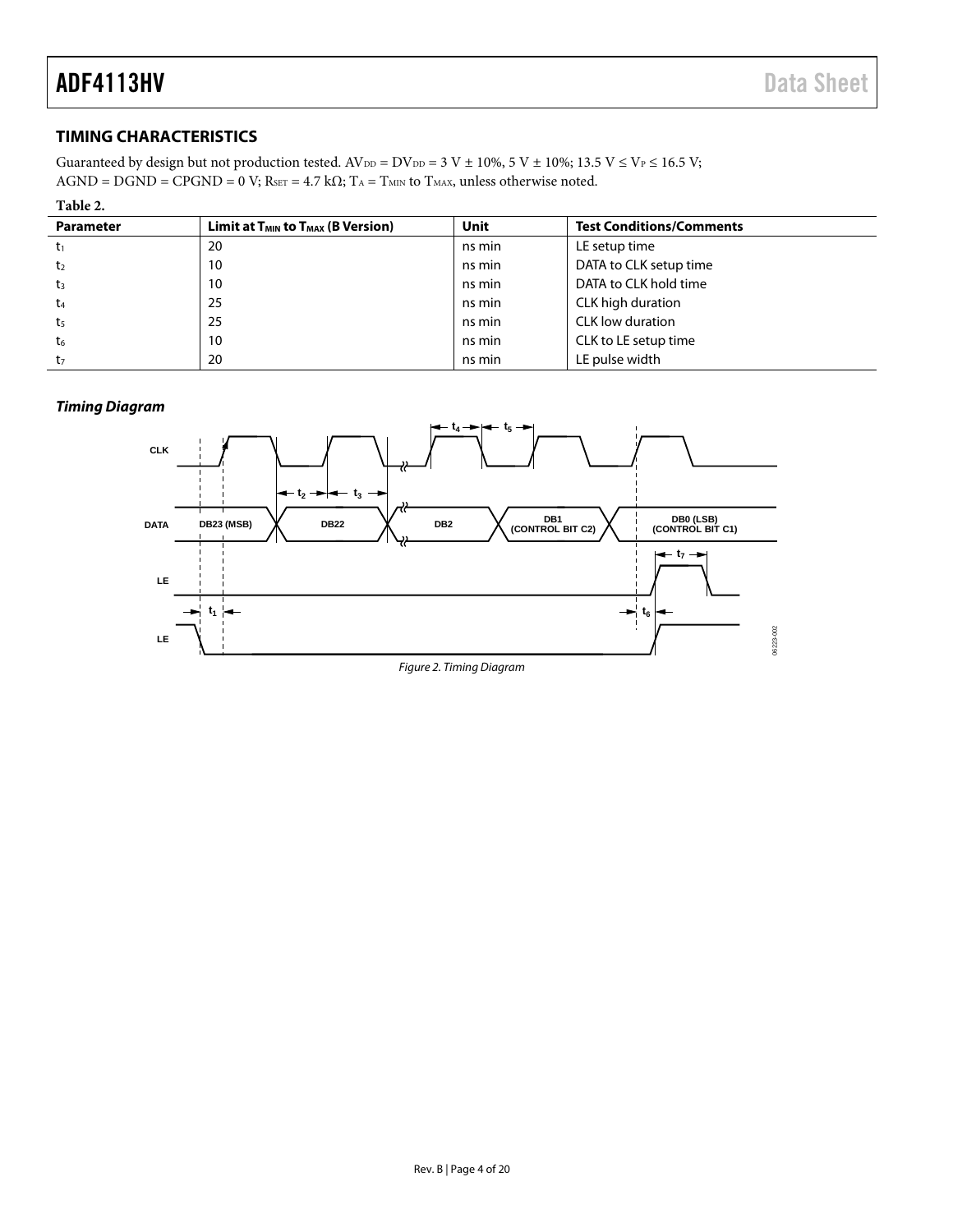# <span id="page-3-0"></span>**TIMING CHARACTERISTICS**

Guaranteed by design but not production tested.  $AV_{DD} = DV_{DD} = 3 V ± 10\%$ ,  $5 V ± 10\%$ ;  $13.5 V \leq V_P \leq 16.5 V$ ;  $AGND = DGND = CPGND = 0 V; R<sub>SET</sub> = 4.7 kΩ; T<sub>A</sub> = T<sub>MIN</sub> to T<sub>MAX</sub>, unless otherwise noted.$ 

| Table 2.         |                                             |             |                                 |
|------------------|---------------------------------------------|-------------|---------------------------------|
| <b>Parameter</b> | Limit at $T_{MIN}$ to $T_{MAX}$ (B Version) | <b>Unit</b> | <b>Test Conditions/Comments</b> |
| $t_1$            | 20                                          | ns min      | LE setup time                   |
| t <sub>2</sub>   | 10                                          | ns min      | DATA to CLK setup time          |
| t <sub>3</sub>   | 10                                          | ns min      | DATA to CLK hold time           |
| t <sub>4</sub>   | 25                                          | ns min      | CLK high duration               |
| t <sub>5</sub>   | 25                                          | ns min      | CLK low duration                |
| t <sub>6</sub>   | 10                                          | ns min      | CLK to LE setup time            |
| t <sub>7</sub>   | 20                                          | ns min      | LE pulse width                  |

#### **Timing Diagram**

<span id="page-3-1"></span>

Figure 2. Timing Diagram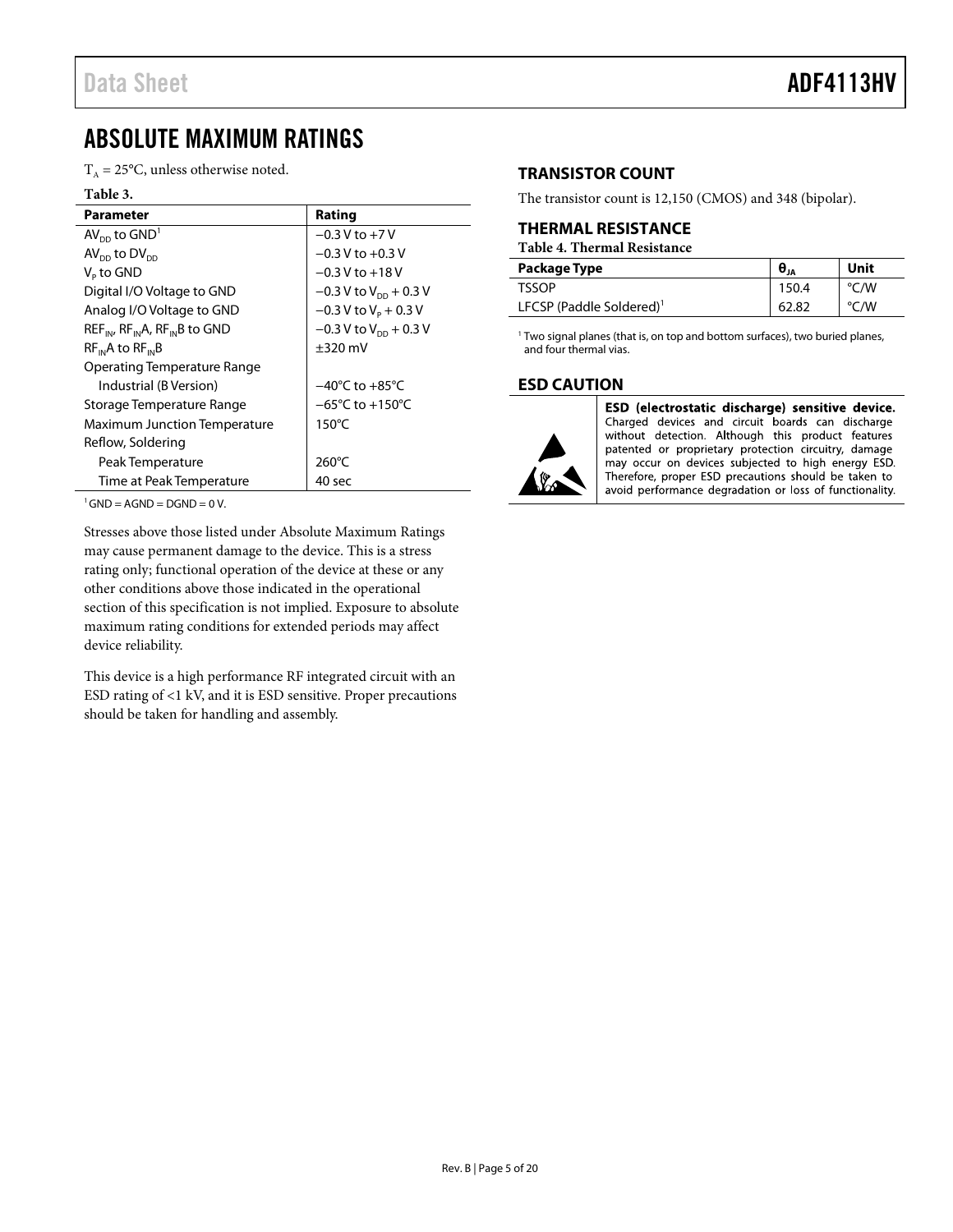# <span id="page-4-3"></span><span id="page-4-0"></span>ABSOLUTE MAXIMUM RATINGS

 $T_A = 25$ °C, unless otherwise noted.

#### **Table 3.**

| Parameter                                   | Rating                               |
|---------------------------------------------|--------------------------------------|
| $AV_{DD}$ to $GND1$                         | $-0.3 V$ to $+7 V$                   |
| $AV_{DD}$ to $DV_{DD}$                      | $-0.3$ V to $+0.3$ V                 |
| $Vp$ to GND                                 | $-0.3$ V to $+18$ V                  |
| Digital I/O Voltage to GND                  | $-0.3$ V to V <sub>pp</sub> + 0.3 V  |
| Analog I/O Voltage to GND                   | $-0.3$ V to V <sub>p</sub> + 0.3 V   |
| $REF_{IN}$ , $RF_{IN}A$ , $RF_{IN}B$ to GND | $-0.3$ V to V <sub>DD</sub> + 0.3 V  |
| $RF_{in}A$ to $RF_{in}B$                    | $\pm$ 320 mV                         |
| Operating Temperature Range                 |                                      |
| Industrial (B Version)                      | $-40^{\circ}$ C to $+85^{\circ}$ C   |
| Storage Temperature Range                   | $-65^{\circ}$ C to +150 $^{\circ}$ C |
| <b>Maximum Junction Temperature</b>         | $150^{\circ}$ C                      |
| Reflow, Soldering                           |                                      |
| Peak Temperature                            | $260^{\circ}$ C                      |
| Time at Peak Temperature                    | 40 sec                               |

 $1^1$ GND = AGND = DGND = 0 V.

Stresses above those listed under Absolute Maximum Ratings may cause permanent damage to the device. This is a stress rating only; functional operation of the device at these or any other conditions above those indicated in the operational section of this specification is not implied. Exposure to absolute maximum rating conditions for extended periods may affect device reliability.

This device is a high performance RF integrated circuit with an ESD rating of <1 kV, and it is ESD sensitive. Proper precautions should be taken for handling and assembly.

# <span id="page-4-1"></span>**TRANSISTOR COUNT**

The transistor count is 12,150 (CMOS) and 348 (bipolar).

### <span id="page-4-2"></span>**THERMAL RESISTANCE**

**Table 4. Thermal Resistance**

| Package Type                         | $\theta_{JA}$ | Unit |
|--------------------------------------|---------------|------|
| TSSOP                                | 150.4         | °C/W |
| LFCSP (Paddle Soldered) <sup>1</sup> | 62.82         | °C/W |

 $1$  Two signal planes (that is, on top and bottom surfaces), two buried planes, and four thermal vias.

### **ESD CAUTION**



ESD (electrostatic discharge) sensitive device. Charged devices and circuit boards can discharge without detection. Although this product features patented or proprietary protection circuitry, damage may occur on devices subjected to high energy ESD. Therefore, proper ESD precautions should be taken to avoid performance degradation or loss of functionality.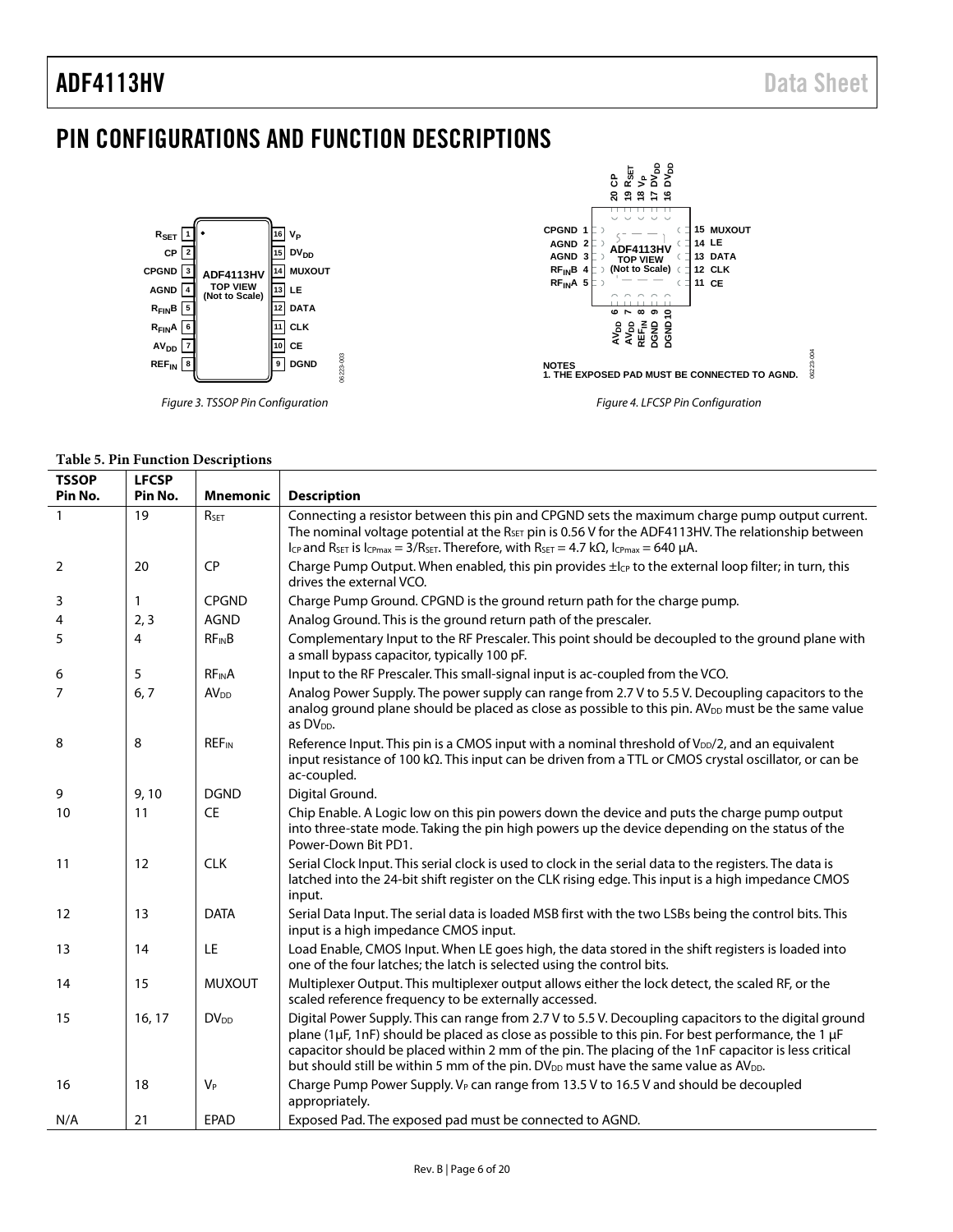# <span id="page-5-0"></span>PIN CONFIGURATIONS AND FUNCTION DESCRIPTIONS



#### **Table 5. Pin Function Descriptions**

| <b>TSSOP</b>   | <b>LFCSP</b> |                         |                                                                                                                                                                                                                                                                                                                                                                                                                                    |
|----------------|--------------|-------------------------|------------------------------------------------------------------------------------------------------------------------------------------------------------------------------------------------------------------------------------------------------------------------------------------------------------------------------------------------------------------------------------------------------------------------------------|
| Pin No.        | Pin No.      | <b>Mnemonic</b>         | <b>Description</b>                                                                                                                                                                                                                                                                                                                                                                                                                 |
| $\mathbf{1}$   | 19           | R <sub>SET</sub>        | Connecting a resistor between this pin and CPGND sets the maximum charge pump output current.<br>The nominal voltage potential at the R <sub>SET</sub> pin is 0.56 V for the ADF4113HV. The relationship between<br>Icp and RsET is Icpmax = $3/R$ SET. Therefore, with RsET = 4.7 k $\Omega$ , Icpmax = 640 µA.                                                                                                                   |
| 2              | 20           | CP                      | Charge Pump Output. When enabled, this pin provides $\pm l_{\mathcal{C}}$ to the external loop filter; in turn, this<br>drives the external VCO.                                                                                                                                                                                                                                                                                   |
| 3              | 1            | <b>CPGND</b>            | Charge Pump Ground. CPGND is the ground return path for the charge pump.                                                                                                                                                                                                                                                                                                                                                           |
| 4              | 2, 3         | <b>AGND</b>             | Analog Ground. This is the ground return path of the prescaler.                                                                                                                                                                                                                                                                                                                                                                    |
| 5              | 4            | $RF_{IN}B$              | Complementary Input to the RF Prescaler. This point should be decoupled to the ground plane with<br>a small bypass capacitor, typically 100 pF.                                                                                                                                                                                                                                                                                    |
| 6              | 5            | <b>RFINA</b>            | Input to the RF Prescaler. This small-signal input is ac-coupled from the VCO.                                                                                                                                                                                                                                                                                                                                                     |
| $\overline{7}$ | 6, 7         | <b>AV<sub>DD</sub></b>  | Analog Power Supply. The power supply can range from 2.7 V to 5.5 V. Decoupling capacitors to the<br>analog ground plane should be placed as close as possible to this pin. AV <sub>DD</sub> must be the same value<br>as DV <sub>DD</sub> .                                                                                                                                                                                       |
| 8              | 8            | <b>REF<sub>IN</sub></b> | Reference Input. This pin is a CMOS input with a nominal threshold of $V_{\text{DD}}/2$ , and an equivalent<br>input resistance of 100 k $\Omega$ . This input can be driven from a TTL or CMOS crystal oscillator, or can be<br>ac-coupled.                                                                                                                                                                                       |
| 9              | 9,10         | <b>DGND</b>             | Digital Ground.                                                                                                                                                                                                                                                                                                                                                                                                                    |
| 10             | 11           | CE                      | Chip Enable. A Logic low on this pin powers down the device and puts the charge pump output<br>into three-state mode. Taking the pin high powers up the device depending on the status of the<br>Power-Down Bit PD1.                                                                                                                                                                                                               |
| 11             | 12           | <b>CLK</b>              | Serial Clock Input. This serial clock is used to clock in the serial data to the registers. The data is<br>latched into the 24-bit shift register on the CLK rising edge. This input is a high impedance CMOS<br>input.                                                                                                                                                                                                            |
| 12             | 13           | <b>DATA</b>             | Serial Data Input. The serial data is loaded MSB first with the two LSBs being the control bits. This<br>input is a high impedance CMOS input.                                                                                                                                                                                                                                                                                     |
| 13             | 14           | LE                      | Load Enable, CMOS Input. When LE goes high, the data stored in the shift registers is loaded into<br>one of the four latches; the latch is selected using the control bits.                                                                                                                                                                                                                                                        |
| 14             | 15           | <b>MUXOUT</b>           | Multiplexer Output. This multiplexer output allows either the lock detect, the scaled RF, or the<br>scaled reference frequency to be externally accessed.                                                                                                                                                                                                                                                                          |
| 15             | 16, 17       | <b>DV<sub>DD</sub></b>  | Digital Power Supply. This can range from 2.7 V to 5.5 V. Decoupling capacitors to the digital ground<br>plane (1µF, 1nF) should be placed as close as possible to this pin. For best performance, the 1 µF<br>capacitor should be placed within 2 mm of the pin. The placing of the 1nF capacitor is less critical<br>but should still be within 5 mm of the pin. DV <sub>DD</sub> must have the same value as AV <sub>DD</sub> . |
| 16             | 18           | $V_P$                   | Charge Pump Power Supply. V <sub>P</sub> can range from 13.5 V to 16.5 V and should be decoupled<br>appropriately.                                                                                                                                                                                                                                                                                                                 |
| N/A            | 21           | <b>EPAD</b>             | Exposed Pad. The exposed pad must be connected to AGND.                                                                                                                                                                                                                                                                                                                                                                            |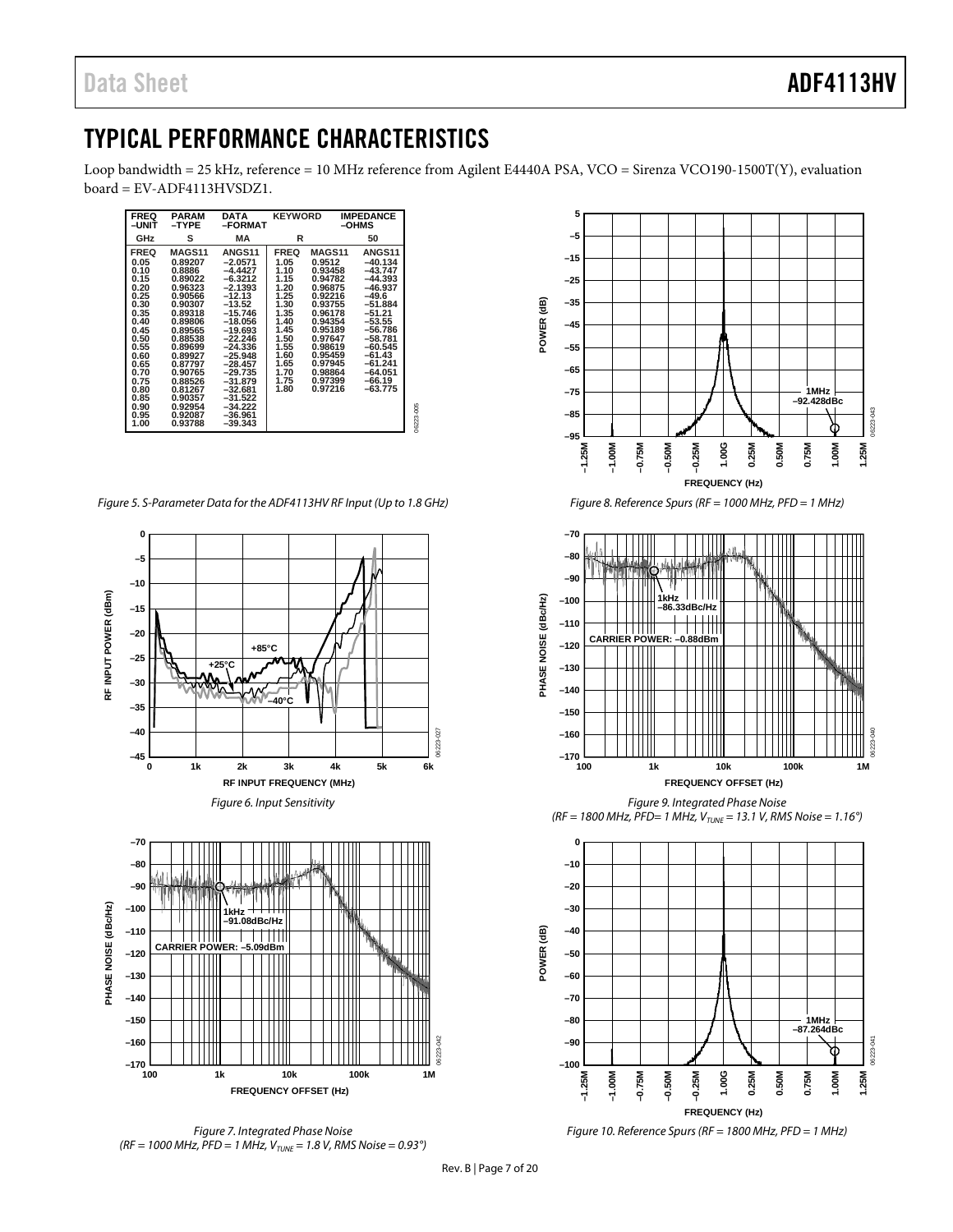# <span id="page-6-0"></span>TYPICAL PERFORMANCE CHARACTERISTICS

Loop bandwidth = 25 kHz, reference = 10 MHz reference from Agilent E4440A PSA, VCO = Sirenza VCO190-1500T(Y), evaluation board = EV-ADF4113HVSDZ1.

| <b>FREQ</b><br>–UNIT                                                                                                                                                        | <b>PARAM</b><br>-TYPE                                                                                                                                                                                                             | <b>DATA</b><br>-FORMAT                                                                                                                                                                                                                                                          | <b>KEYWORD</b>                                                                                                                              |                                                                                                                                                                                       | <b>IMPEDANCE</b><br>-OHMS                                                                                                                                                                                        |           |  |  |  |
|-----------------------------------------------------------------------------------------------------------------------------------------------------------------------------|-----------------------------------------------------------------------------------------------------------------------------------------------------------------------------------------------------------------------------------|---------------------------------------------------------------------------------------------------------------------------------------------------------------------------------------------------------------------------------------------------------------------------------|---------------------------------------------------------------------------------------------------------------------------------------------|---------------------------------------------------------------------------------------------------------------------------------------------------------------------------------------|------------------------------------------------------------------------------------------------------------------------------------------------------------------------------------------------------------------|-----------|--|--|--|
| GHz                                                                                                                                                                         | s                                                                                                                                                                                                                                 | МA                                                                                                                                                                                                                                                                              | R                                                                                                                                           |                                                                                                                                                                                       | 50                                                                                                                                                                                                               |           |  |  |  |
| <b>FREQ</b><br>0.05<br>0.10<br>0.15<br>0.20<br>0.25<br>0.30<br>0.35<br>0.40<br>0.45<br>0.50<br>0.55<br>0.60<br>0.65<br>0.70<br>0.75<br>0.80<br>0.85<br>0.90<br>0.95<br>1.00 | MAGS11<br>0.89207<br>0.8886<br>0.89022<br>0.96323<br>0.90566<br>0.90307<br>0.89318<br>0.89806<br>0.89565<br>0.88538<br>0.89699<br>0.89927<br>0.87797<br>0.90765<br>0.88526<br>0.81267<br>0.90357<br>0.92954<br>0.92087<br>0.93788 | <b>ANGS11</b><br>$-2.0571$<br>$-4.4427$<br>$-6.3212$<br>$-2.1393$<br>$-12.13$<br>$-13.52$<br>$-15.746$<br>$-18.056$<br>$-19.693$<br>$-22.246$<br>$-24.336$<br>$-25.948$<br>$-28.457$<br>$-29.735$<br>$-31.879$<br>$-32.681$<br>$-31.522$<br>$-34.222$<br>$-36.961$<br>$-39.343$ | <b>FREQ</b><br>1.05<br>1.10<br>1.15<br>1.20<br>1.25<br>1.30<br>1.35<br>1.40<br>1.45<br>1.50<br>1.55<br>1.60<br>1.65<br>1.70<br>1.75<br>1.80 | MAGS11<br>0.9512<br>0.93458<br>0.94782<br>0.96875<br>0.92216<br>0.93755<br>0.96178<br>0.94354<br>0.95189<br>0.97647<br>0.98619<br>0.95459<br>0.97945<br>0.98864<br>0.97399<br>0.97216 | ANGS11<br>$-40.134$<br>$-43.747$<br>$-44.393$<br>$-46.937$<br>$-49.6$<br>$-51.884$<br>$-51.21$<br>$-53.55$<br>$-56.786$<br>$-58.781$<br>$-60.545$<br>$-61.43$<br>$-61.241$<br>$-64.051$<br>$-66.19$<br>$-63.775$ | 06223-005 |  |  |  |

*Figure 5. S-Parameter Data for the ADF4113HV RF Input (Up to 1.8 GHz)*









*Figure 8. Reference Spurs (RF = 1000 MHz, PFD = 1 MHz)*



*Figure 9. Integrated Phase Noise (RF = 1800 MHz, PFD= 1 MHz, VTUNE = 13.1 V, RMS Noise = 1.16°)*



*Figure 10. Reference Spurs (RF = 1800 MHz, PFD = 1 MHz)*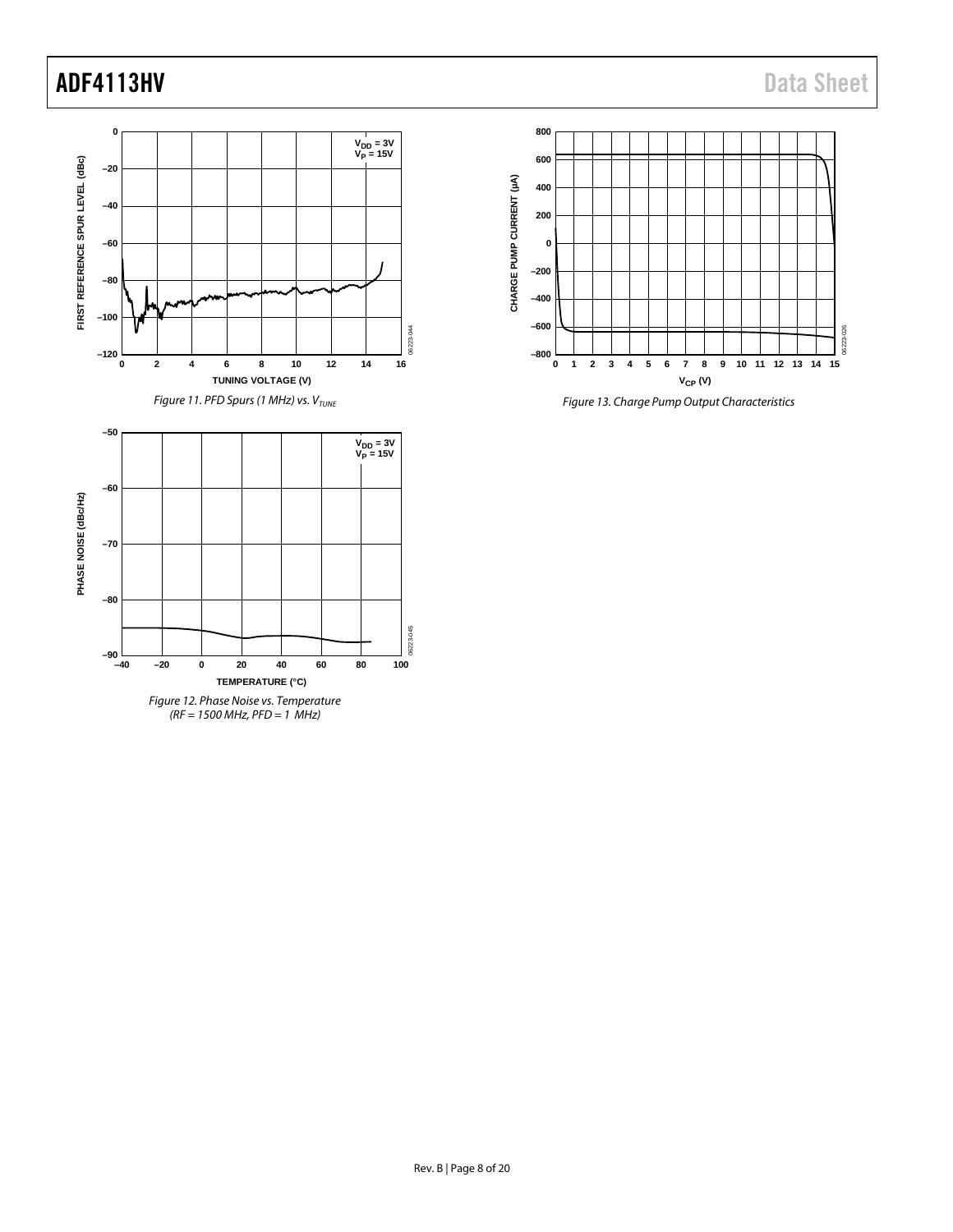

*(RF = 1500 MHz, PFD = 1 MHz)*



*Figure 13. Charge Pump Output Characteristics*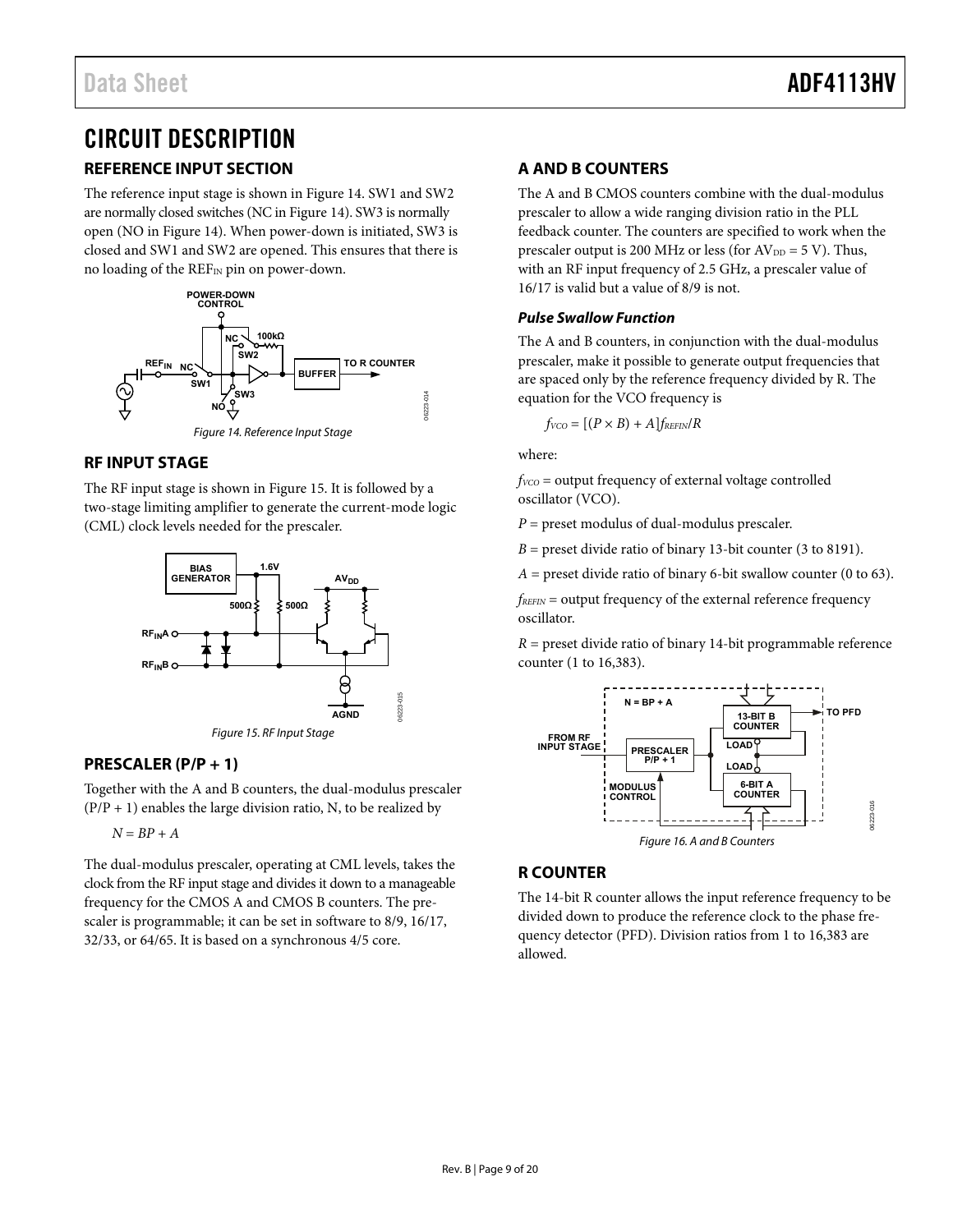# <span id="page-8-0"></span>CIRCUIT DESCRIPTION

# <span id="page-8-1"></span>**REFERENCE INPUT SECTION**

The reference input stage is shown i[n Figure 14.](#page-8-6) SW1 and SW2 are normally closed switches (NC i[n Figure 14\)](#page-8-6). SW3 is normally open (NO i[n Figure 14\)](#page-8-6). When power-down is initiated, SW3 is closed and SW1 and SW2 are opened. This ensures that there is no loading of the REFIN pin on power-down.



### <span id="page-8-6"></span><span id="page-8-2"></span>**RF INPUT STAGE**

The RF input stage is shown in [Figure 15.](#page-8-7) It is followed by a two-stage limiting amplifier to generate the current-mode logic (CML) clock levels needed for the prescaler.



# <span id="page-8-7"></span><span id="page-8-3"></span>**PRESCALER (P/P + 1)**

Together with the A and B counters, the dual-modulus prescaler  $(P/P + 1)$  enables the large division ratio, N, to be realized by

 $N = BP + A$ 

The dual-modulus prescaler, operating at CML levels, takes the clock from the RF input stage and divides it down to a manageable frequency for the CMOS A and CMOS B counters. The prescaler is programmable; it can be set in software to 8/9, 16/17, 32/33, or 64/65. It is based on a synchronous 4/5 core.

# <span id="page-8-4"></span>**A AND B COUNTERS**

The A and B CMOS counters combine with the dual-modulus prescaler to allow a wide ranging division ratio in the PLL feedback counter. The counters are specified to work when the prescaler output is 200 MHz or less (for  $AV_{DD} = 5 V$ ). Thus, with an RF input frequency of 2.5 GHz, a prescaler value of 16/17 is valid but a value of 8/9 is not.

### **Pulse Swallow Function**

The A and B counters, in conjunction with the dual-modulus prescaler, make it possible to generate output frequencies that are spaced only by the reference frequency divided by R. The equation for the VCO frequency is

 $f_{VCO} = [(P \times B) + A]f_{REFIN}/R$ 

where:

*fVCO* = output frequency of external voltage controlled oscillator (VCO).

*P* = preset modulus of dual-modulus prescaler.

 $B =$  preset divide ratio of binary 13-bit counter (3 to 8191).

 $A =$  preset divide ratio of binary 6-bit swallow counter (0 to 63).

*fREFIN* = output frequency of the external reference frequency oscillator.

*R* = preset divide ratio of binary 14-bit programmable reference counter (1 to 16,383).



# <span id="page-8-5"></span>**R COUNTER**

The 14-bit R counter allows the input reference frequency to be divided down to produce the reference clock to the phase frequency detector (PFD). Division ratios from 1 to 16,383 are allowed.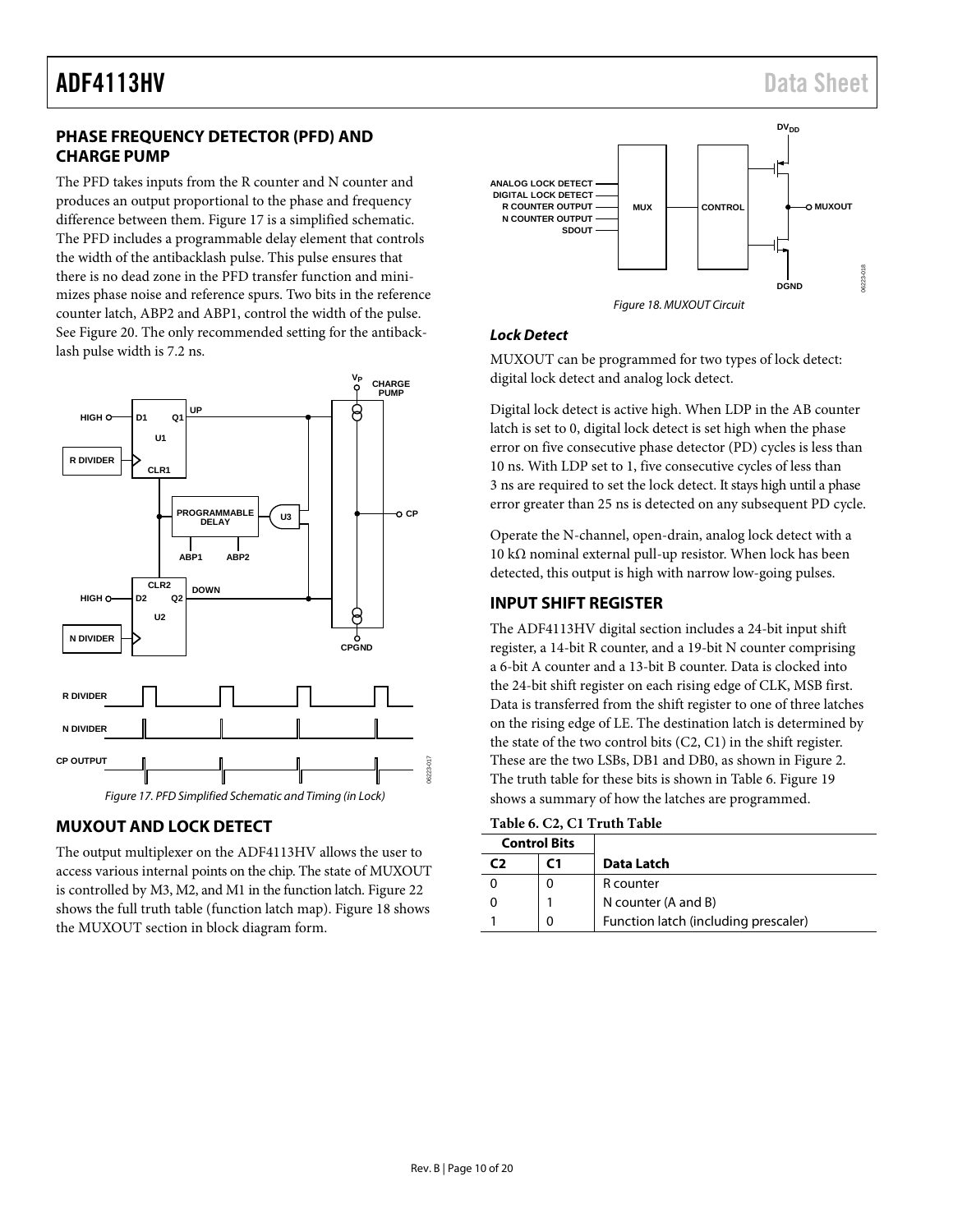### <span id="page-9-0"></span>**PHASE FREQUENCY DETECTOR (PFD) AND CHARGE PUMP**

The PFD takes inputs from the R counter and N counter and produces an output proportional to the phase and frequency difference between them. [Figure 17](#page-9-3) is a simplified schematic. The PFD includes a programmable delay element that controls the width of the antibacklash pulse. This pulse ensures that there is no dead zone in the PFD transfer function and minimizes phase noise and reference spurs. Two bits in the reference counter latch, ABP2 and ABP1, control the width of the pulse. See [Figure 20.](#page-10-0) The only recommended setting for the antibacklash pulse width is 7.2 ns.



### <span id="page-9-3"></span><span id="page-9-1"></span>**MUXOUT AND LOCK DETECT**

The output multiplexer on the ADF4113HV allows the user to access various internal points on the chip. The state of MUXOUT is controlled by M3, M2, and M1 in the function latch[. Figure 22](#page-12-1) shows the full truth table (function latch map)[. Figure 18](#page-9-4) shows the MUXOUT section in block diagram form.



*Figure 18. MUXOUT Circuit*

#### <span id="page-9-4"></span>*Lock Detect*

MUXOUT can be programmed for two types of lock detect: digital lock detect and analog lock detect.

Digital lock detect is active high. When LDP in the AB counter latch is set to 0, digital lock detect is set high when the phase error on five consecutive phase detector (PD) cycles is less than 10 ns. With LDP set to 1, five consecutive cycles of less than 3 ns are required to set the lock detect. It stays high until a phase error greater than 25 ns is detected on any subsequent PD cycle.

Operate the N-channel, open-drain, analog lock detect with a 10 kΩ nominal external pull-up resistor. When lock has been detected, this output is high with narrow low-going pulses.

### <span id="page-9-2"></span>**INPUT SHIFT REGISTER**

The ADF4113HV digital section includes a 24-bit input shift register, a 14-bit R counter, and a 19-bit N counter comprising a 6-bit A counter and a 13-bit B counter. Data is clocked into the 24-bit shift register on each rising edge of CLK, MSB first. Data is transferred from the shift register to one of three latches on the rising edge of LE. The destination latch is determined by the state of the two control bits (C2, C1) in the shift register. These are the two LSBs, DB1 and DB0, as shown i[n Figure 2.](#page-3-1)  The truth table for these bits is shown in [Table 6.](#page-9-5) [Figure 19](#page-10-1) shows a summary of how the latches are programmed.

<span id="page-9-5"></span>

|                     |    | Table 6. C2, C1 Truth Table          |
|---------------------|----|--------------------------------------|
| <b>Control Bits</b> |    |                                      |
|                     | C1 | Data Latch                           |
|                     |    | R counter                            |
|                     |    | N counter (A and B)                  |
|                     | 0  | Function latch (including prescaler) |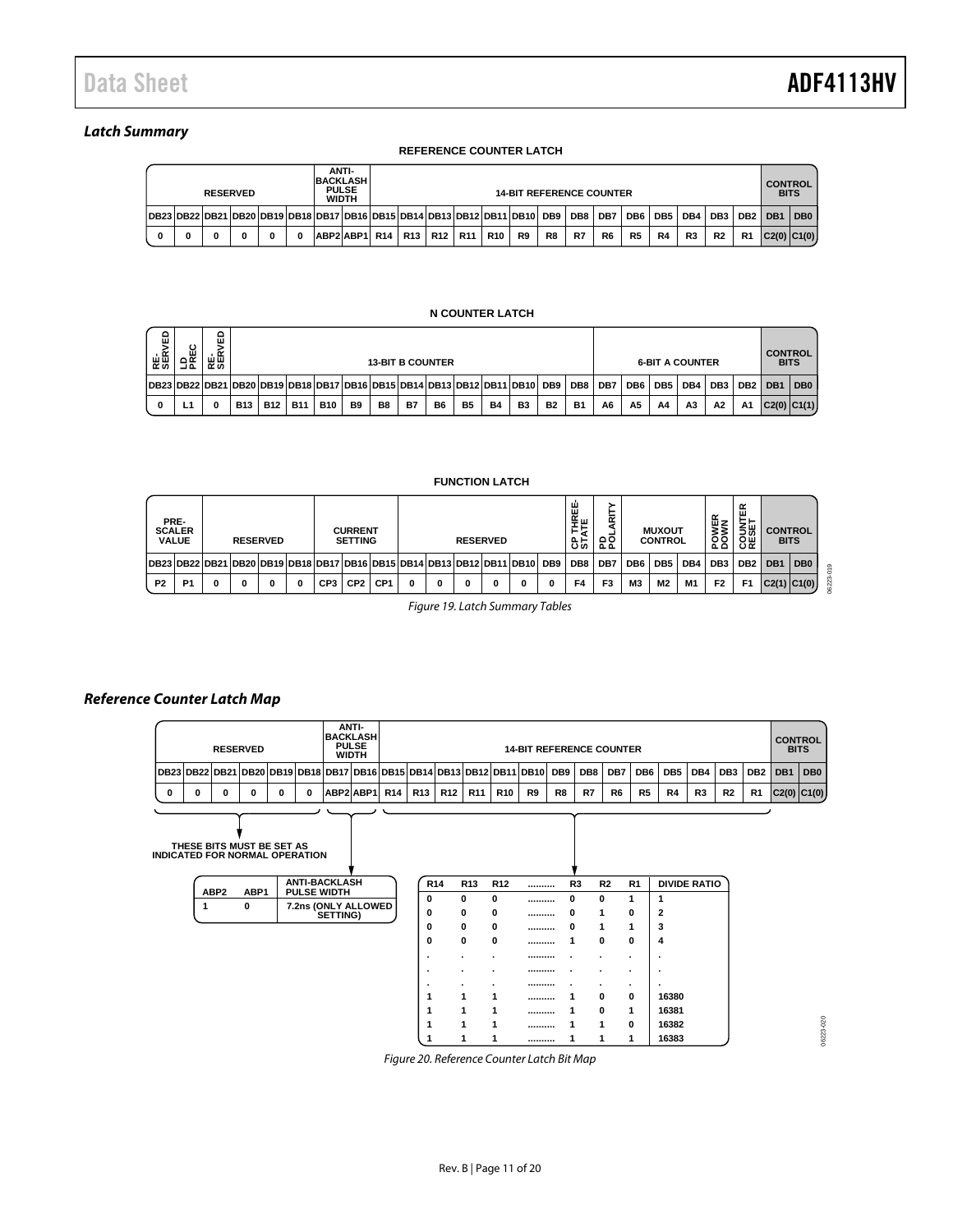### *Latch Summary*

#### **REFERENCE COUNTER LATCH**

| ANTI-<br><b>BACKLASH</b><br><b>PULSE</b><br><b>RESERVED</b><br><b>WIDTH</b> |                                                                                              |  |  |  |  |  |               | <b>14-BIT REFERENCE COUNTER</b> |  |  |                                                     |                 |                |    |    |                |                |                 | <b>CONTROL</b><br><b>BITS</b> |                |           |             |                 |
|-----------------------------------------------------------------------------|----------------------------------------------------------------------------------------------|--|--|--|--|--|---------------|---------------------------------|--|--|-----------------------------------------------------|-----------------|----------------|----|----|----------------|----------------|-----------------|-------------------------------|----------------|-----------|-------------|-----------------|
|                                                                             | DB23 DB22 DB21 DB20 DB19 DB18 DB17 DB16 DB15 DB14 DB13 DB12 DB11 DB10  DB9   DB8   DB7   DB6 |  |  |  |  |  |               |                                 |  |  |                                                     |                 |                |    |    |                |                | DB <sub>5</sub> | DB4                           | DB3            | $DB2$ DB1 |             | DB <sub>0</sub> |
| 0                                                                           |                                                                                              |  |  |  |  |  | ABP2 ABP1 R14 |                                 |  |  | R <sub>13</sub>   R <sub>12</sub>   R <sub>11</sub> | R <sub>10</sub> | R <sub>9</sub> | R8 | R7 | R <sub>6</sub> | R <sub>5</sub> | R4              | R <sub>3</sub>                | R <sub>2</sub> | R1        | C2(0) C1(0) |                 |

#### **N COUNTER LATCH**

| 읎<br>준.<br>중 | ບ<br>ш<br>$\sim$<br>⊐ ఒ                                                    | ۵<br>ш<br>ᆢᄧ<br>~あ |            | <b>13-BIT B COUNTER</b> |            |            |           |    |           |                |           |           |                |           |                 | <b>6-BIT A COUNTER</b> |                 |                 |                |                 |                 | <b>CONTROL</b><br><b>BITS</b> |       |
|--------------|----------------------------------------------------------------------------|--------------------|------------|-------------------------|------------|------------|-----------|----|-----------|----------------|-----------|-----------|----------------|-----------|-----------------|------------------------|-----------------|-----------------|----------------|-----------------|-----------------|-------------------------------|-------|
|              | DB23 DB22 DB21 DB20 DB19 DB18 DB17 DB16 DB15 DB14 DB13 DB12 DB11 DB10  DB9 |                    |            |                         |            |            |           |    |           |                |           |           |                |           | DB <sub>8</sub> | DB7                    | DB <sub>6</sub> | DB <sub>5</sub> | DB4            | DB <sub>3</sub> | DB <sub>2</sub> | DB <sub>1</sub>               | l DB0 |
|              | и                                                                          |                    | <b>B13</b> | <b>B12</b>              | <b>B11</b> | <b>B10</b> | <b>B9</b> | B8 | <b>B7</b> | B <sub>6</sub> | <b>B5</b> | <b>B4</b> | B <sub>3</sub> | <b>B2</b> | <b>B1</b>       | A <sub>6</sub>         | A <sub>5</sub>  | A <sub>4</sub>  | A <sub>3</sub> | A2              | <b>A1</b>       | C2(0) C1(1)                   |       |

#### **FUNCTION LATCH**

|                | PRE-<br><b>SCALER</b><br><b>VALUE</b>                                 |   | <b>RESERVED</b> |     | <b>CURRENT</b><br><b>SETTING</b> |                 |   |   | <b>RESERVED</b> |   |   |                 | ш<br>≝ш<br>55  | 윤운  |                 | <b>MUXOUT</b><br><b>CONTROL</b> |     | ∝<br>POWEI      | ≃<br>š₩<br>8뜺   | <b>BITS</b>     | <b>CONTROL</b>  |
|----------------|-----------------------------------------------------------------------|---|-----------------|-----|----------------------------------|-----------------|---|---|-----------------|---|---|-----------------|----------------|-----|-----------------|---------------------------------|-----|-----------------|-----------------|-----------------|-----------------|
|                | DB23 DB22 DB21 DB20 DB19 DB18 DB17 DB16 DB15 DB14 DB13 DB12 DB11 DB10 |   |                 |     |                                  |                 |   |   |                 |   |   | DB <sub>9</sub> | DB8            | DB7 | DB <sub>6</sub> | DB <sub>5</sub>                 | DB4 | DB <sub>3</sub> | DB <sub>2</sub> | DB <sub>1</sub> | DB <sub>0</sub> |
| P <sub>2</sub> | P <sub>1</sub>                                                        | 0 | 0               | CP3 | CP <sub>2</sub>                  | CP <sub>1</sub> | n | 0 | 0               | 0 | o | 0               | F <sub>4</sub> | F3  | M <sub>3</sub>  | M <sub>2</sub>                  | M1  | F <sub>2</sub>  | F <sub>1</sub>  |                 | C2(1) C1(0)     |

*Figure 19. Latch Summary Tables*

#### <span id="page-10-1"></span>*Reference Counter Latch Map*

| <b>ANTI-</b><br><b>BACKLASHI</b><br><b>PULSE</b><br><b>RESERVED</b><br><b>14-BIT REFERENCE COUNTER</b><br><b>WIDTH</b> |                                                                                  |   |  |   |   |              |  |  |  |                       | <b>CONTROL</b><br><b>BITS</b> |                |    |    |                |                 |                 |                |                |           |             |                 |
|------------------------------------------------------------------------------------------------------------------------|----------------------------------------------------------------------------------|---|--|---|---|--------------|--|--|--|-----------------------|-------------------------------|----------------|----|----|----------------|-----------------|-----------------|----------------|----------------|-----------|-------------|-----------------|
|                                                                                                                        | DB23 DB22 DB21 DB20 DB19 DB18 DB17 DB16 DB15 DB14 DB13 DB12 DB11 DB10  DB9   DB8 |   |  |   |   |              |  |  |  |                       |                               |                |    |    | DB7            | DB <sub>6</sub> | DB <sub>5</sub> | DB4            | DB3            | $DB2$ DB1 |             | DB <sub>0</sub> |
| 0                                                                                                                      | 0                                                                                | n |  | 0 | n | ABP2ABP1 R14 |  |  |  | R13   R12   R11   R10 |                               | R <sub>9</sub> | R8 | R7 | R <sub>6</sub> | R <sub>5</sub>  | R4              | R <sub>3</sub> | R <sub>2</sub> | R1        | C2(0) C1(0) |                 |
|                                                                                                                        |                                                                                  |   |  |   |   |              |  |  |  |                       |                               |                |    |    |                |                 |                 |                |                |           |             |                 |

<span id="page-10-0"></span>

|                  | THESE BITS MUST BE SET AS | <b>INDICATED FOR NORMAL OPERATION</b>      |                 |                 |                 |                    |                |                |                     |
|------------------|---------------------------|--------------------------------------------|-----------------|-----------------|-----------------|--------------------|----------------|----------------|---------------------|
| ABP <sub>2</sub> | ABP1                      | <b>ANTI-BACKLASH</b><br><b>PULSE WIDTH</b> | R <sub>14</sub> | R <sub>13</sub> | R <sub>12</sub> | <br>R <sub>3</sub> | R <sub>2</sub> | R <sub>1</sub> | <b>DIVIDE RATIO</b> |
|                  |                           |                                            | 0               | 0               | 0               | <br>0              | 0              | 1              |                     |
|                  | 0                         | 7.2ns (ONLY ALLOWED<br>SETTING)            | 0               | 0               | 0               | <br>0              | 1              | 0              | $\overline{2}$      |
|                  |                           |                                            | 0               | 0               | 0               | <br>0              | 1              | $\mathbf{1}$   | 3                   |
|                  |                           |                                            | 0               | 0               | 0               |                    | 0              | 0              | 4                   |
|                  |                           |                                            | ٠               |                 | ٠               |                    | ٠              |                | ۰.                  |
|                  |                           |                                            | ٠               | ٠               | ٠               |                    | ٠              |                |                     |
|                  |                           |                                            | ٠               | ٠               | ٠               | <br>٠              | ٠              | ٠              | ٠                   |
|                  |                           |                                            | 1               | 1               | 1               |                    | 0              | 0              | 16380               |
|                  |                           |                                            |                 | 1               | 1               |                    | $\Omega$       | 1              | 16381               |
|                  |                           |                                            |                 | 1               | 1               |                    | 1              | 0              | 16382               |
|                  |                           |                                            |                 | 1               | 1               |                    |                |                | 16383               |

06223-020 06223-020

*Figure 20. Reference Counter Latch Bit Map*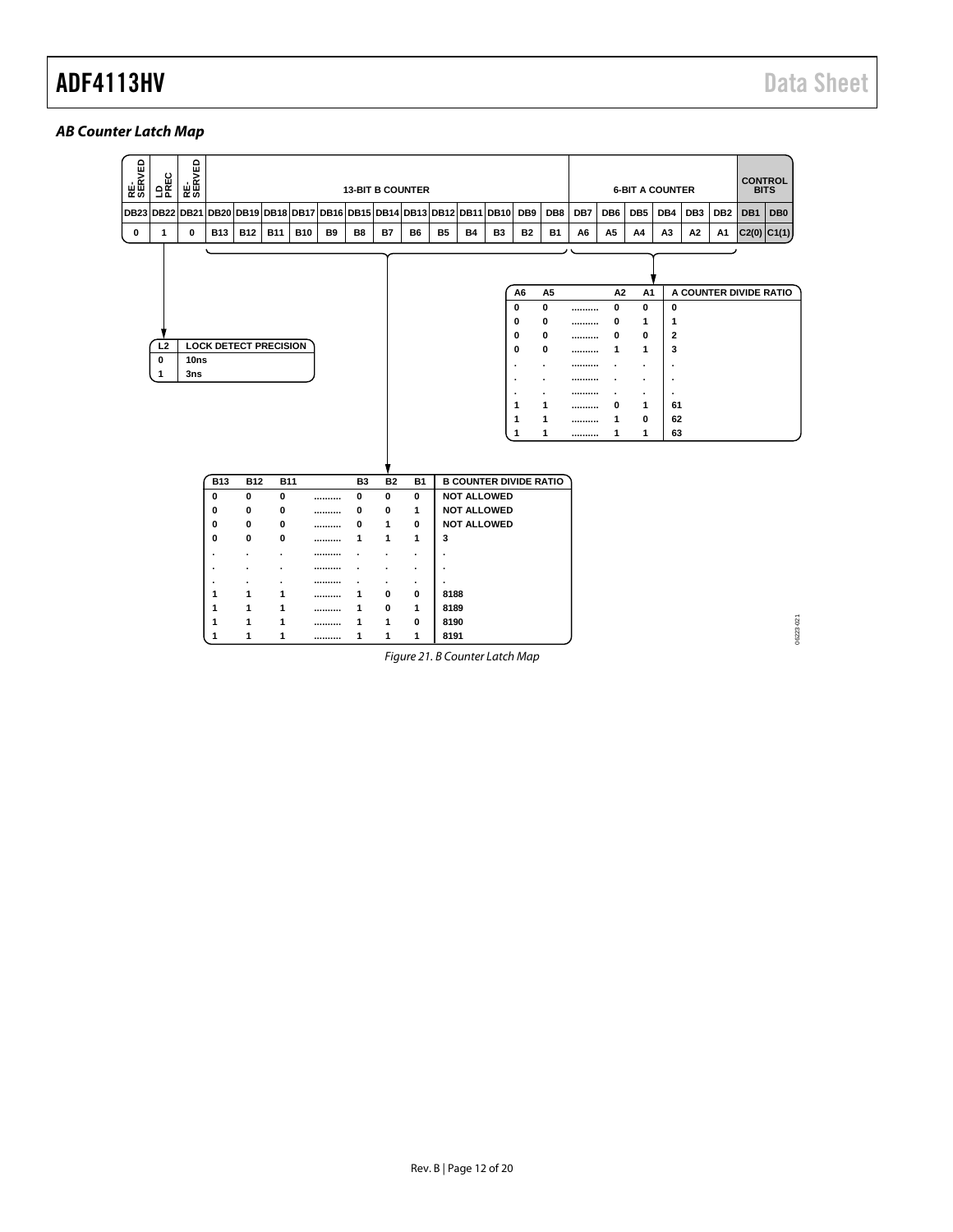# *AB Counter Latch Map*

| RE-<br>SERVED    | 으로<br>모두                        | RE-<br>SERVED |                              | <b>13-BIT B COUNTER</b> |            |            |                                                   |                |           |                |           |           | <b>6-BIT A COUNTER</b>        |                                                                                                                   |                                                                                     |                                      |                                                                              |                                                                   |                                                                                                                             | <b>CONTROL</b><br><b>BITS</b> |                 |             |                 |
|------------------|---------------------------------|---------------|------------------------------|-------------------------|------------|------------|---------------------------------------------------|----------------|-----------|----------------|-----------|-----------|-------------------------------|-------------------------------------------------------------------------------------------------------------------|-------------------------------------------------------------------------------------|--------------------------------------|------------------------------------------------------------------------------|-------------------------------------------------------------------|-----------------------------------------------------------------------------------------------------------------------------|-------------------------------|-----------------|-------------|-----------------|
| <b>DB23 DB22</b> |                                 | <b>DB21</b>   | <b>DB20</b>                  |                         |            |            | DB19 DB18 DB17 DB16 DB15 DB14 DB13 DB12 DB11 DB10 |                |           |                |           |           |                               | DB9                                                                                                               | DB8                                                                                 | DB7                                  | DB <sub>6</sub>                                                              | DB <sub>5</sub>                                                   | DB4                                                                                                                         | DB <sub>3</sub>               | DB <sub>2</sub> | DB1         | DB <sub>0</sub> |
| $\bf{0}$         | 1                               | $\bf{0}$      | <b>B13</b>                   | <b>B12</b>              | <b>B11</b> | <b>B10</b> | B9                                                | B8             | B7        | B6             | <b>B5</b> | <b>B4</b> | B <sub>3</sub>                | <b>B2</b>                                                                                                         | <b>B1</b>                                                                           | A6                                   | A5                                                                           | A4                                                                | A3                                                                                                                          | A2                            | A1              | C2(0) C1(1) |                 |
|                  | L <sub>2</sub><br>$\bf{0}$<br>1 | 10ns<br>3ns   | <b>LOCK DETECT PRECISION</b> |                         |            |            |                                                   |                |           |                |           |           |                               | A <sub>6</sub><br>0<br>0<br>0<br>0<br>$\overline{\phantom{a}}$<br>$\blacksquare$<br>$\blacksquare$<br>1<br>1<br>1 | A <sub>5</sub><br>0<br>0<br>0<br>0<br>$\blacksquare$<br>٠<br>$\cdot$<br>1<br>1<br>1 | <br><br><br><br><br><br><br><br><br> | A2<br>0<br>0<br>0<br>1<br>$\overline{\phantom{a}}$<br>$\cdot$<br>0<br>1<br>1 | A1<br>0<br>1<br>0<br>1<br>$\overline{a}$<br>٠<br>٠<br>1<br>0<br>1 | $\mathbf 0$<br>1<br>$\overline{\mathbf{2}}$<br>3<br>$\blacksquare$<br>$\overline{\phantom{a}}$<br>$\cdot$<br>61<br>62<br>63 | A COUNTER DIVIDE RATIO        |                 |             |                 |
|                  |                                 |               | <b>B13</b>                   | <b>B12</b>              | <b>B11</b> |            |                                                   | B <sub>3</sub> | <b>B2</b> | <b>B1</b>      |           |           | <b>B COUNTER DIVIDE RATIO</b> |                                                                                                                   |                                                                                     |                                      |                                                                              |                                                                   |                                                                                                                             |                               |                 |             |                 |
|                  |                                 |               | 0                            | 0                       | 0          |            |                                                   | 0              | 0         | 0              |           |           | <b>NOT ALLOWED</b>            |                                                                                                                   |                                                                                     |                                      |                                                                              |                                                                   |                                                                                                                             |                               |                 |             |                 |
|                  |                                 |               | 0                            | 0                       | 0          |            |                                                   | 0              | 0         | 1              |           |           | <b>NOT ALLOWED</b>            |                                                                                                                   |                                                                                     |                                      |                                                                              |                                                                   |                                                                                                                             |                               |                 |             |                 |
|                  |                                 |               | 0                            | 0                       | 0          |            |                                                   | 0              | 1         | 0              |           |           | <b>NOT ALLOWED</b>            |                                                                                                                   |                                                                                     |                                      |                                                                              |                                                                   |                                                                                                                             |                               |                 |             |                 |
|                  |                                 |               | 0                            | 0                       | 0          |            |                                                   | 1              | 1         | $\mathbf{1}$   | 3         |           |                               |                                                                                                                   |                                                                                     |                                      |                                                                              |                                                                   |                                                                                                                             |                               |                 |             |                 |
|                  |                                 |               | $\cdot$                      |                         | $\cdot$    |            |                                                   |                |           | $\blacksquare$ | $\cdot$   |           |                               |                                                                                                                   |                                                                                     |                                      |                                                                              |                                                                   |                                                                                                                             |                               |                 |             |                 |
|                  |                                 |               | ٠                            |                         | $\cdot$    |            |                                                   |                |           | $\cdot$        | ٠.        |           |                               |                                                                                                                   |                                                                                     |                                      |                                                                              |                                                                   |                                                                                                                             |                               |                 |             |                 |
|                  |                                 |               |                              |                         |            |            |                                                   |                |           | $\bullet$      | $\cdot$   |           |                               |                                                                                                                   |                                                                                     |                                      |                                                                              |                                                                   |                                                                                                                             |                               |                 |             |                 |
|                  |                                 |               | 1                            | 1                       | 1          |            |                                                   | 1              | 0         | 0              | 8188      |           |                               |                                                                                                                   |                                                                                     |                                      |                                                                              |                                                                   |                                                                                                                             |                               |                 |             |                 |
|                  |                                 |               | 1                            | 1                       | 1          |            |                                                   | 1              | 0         | 1              | 8189      |           |                               |                                                                                                                   |                                                                                     |                                      |                                                                              |                                                                   |                                                                                                                             |                               |                 |             |                 |
|                  |                                 |               | 1                            | 1                       | 1          |            |                                                   | 1              | 1         | 0              | 8190      |           |                               |                                                                                                                   |                                                                                     |                                      |                                                                              |                                                                   |                                                                                                                             |                               |                 |             | 06223-021       |
|                  |                                 |               | 1                            | $\mathbf{1}$            | 1          |            |                                                   | 1              | 1         | 1              | 8191      |           |                               |                                                                                                                   |                                                                                     |                                      |                                                                              |                                                                   |                                                                                                                             |                               |                 |             |                 |

*Figure 21. B Counter Latch Map*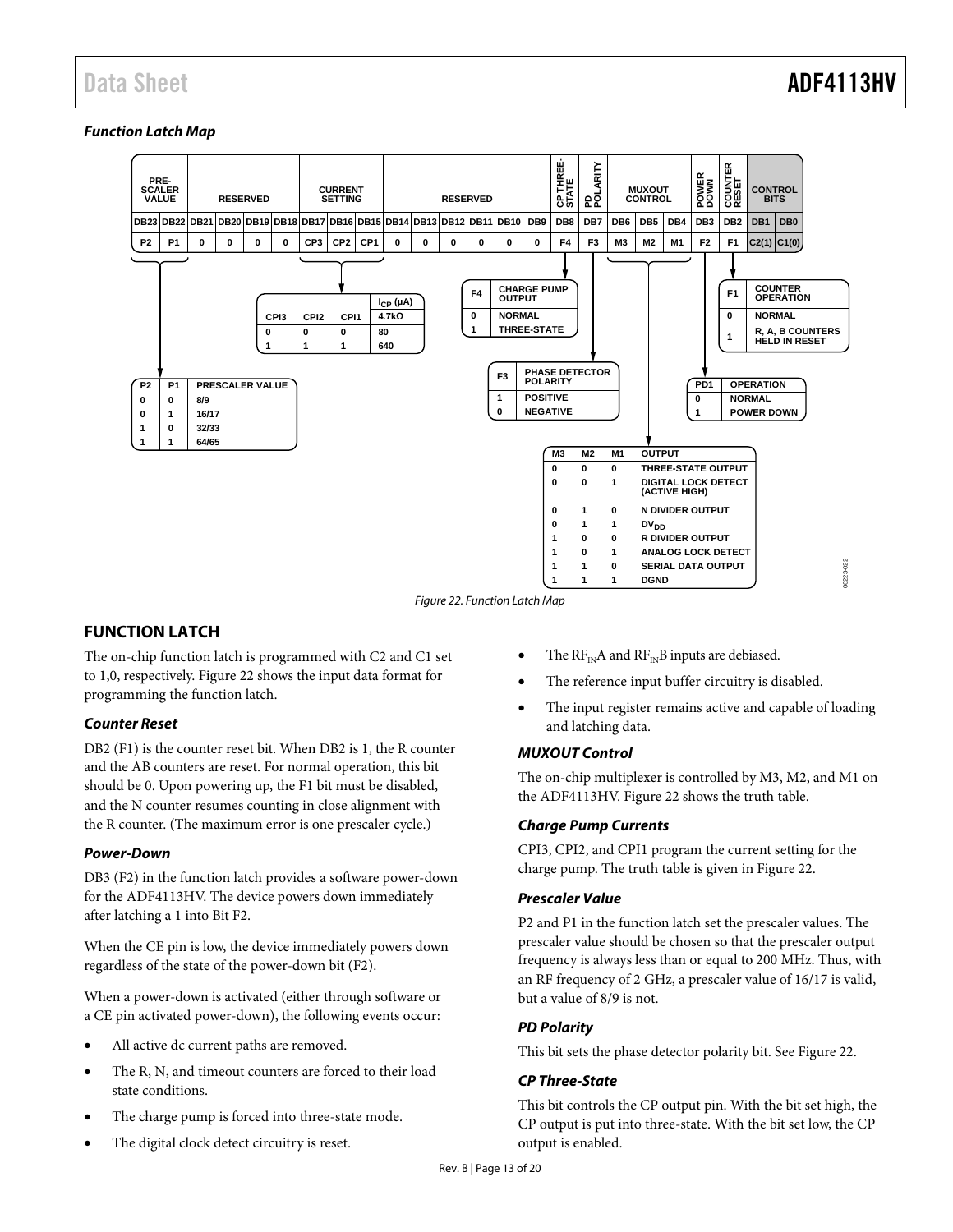### *Function Latch Map*



*Figure 22. Function Latch Map*

### <span id="page-12-1"></span><span id="page-12-0"></span>**FUNCTION LATCH**

The on-chip function latch is programmed with C2 and C1 set to 1,0, respectively[. Figure 22](#page-12-1) shows the input data format for programming the function latch.

#### *Counter Reset*

DB2 (F1) is the counter reset bit. When DB2 is 1, the R counter and the AB counters are reset. For normal operation, this bit should be 0. Upon powering up, the F1 bit must be disabled, and the N counter resumes counting in close alignment with the R counter. (The maximum error is one prescaler cycle.)

#### *Power-Down*

DB3 (F2) in the function latch provides a software power-down for the ADF4113HV. The device powers down immediately after latching a 1 into Bit F2.

When the CE pin is low, the device immediately powers down regardless of the state of the power-down bit (F2).

When a power-down is activated (either through software or a CE pin activated power-down), the following events occur:

- All active dc current paths are removed.
- The R, N, and timeout counters are forced to their load state conditions.
- The charge pump is forced into three-state mode.
- The digital clock detect circuitry is reset.
- The  $\text{RF}_{\text{IN}}\text{A}$  and  $\text{RF}_{\text{IN}}\text{B}$  inputs are debiased.
- The reference input buffer circuitry is disabled.
- The input register remains active and capable of loading and latching data.

### *MUXOUT Control*

The on-chip multiplexer is controlled by M3, M2, and M1 on the ADF4113HV. [Figure 22](#page-12-1) shows the truth table.

#### *Charge Pump Currents*

CPI3, CPI2, and CPI1 program the current setting for the charge pump. The truth table is given i[n Figure 22.](#page-12-1)

#### *Prescaler Value*

P2 and P1 in the function latch set the prescaler values. The prescaler value should be chosen so that the prescaler output frequency is always less than or equal to 200 MHz. Thus, with an RF frequency of 2 GHz, a prescaler value of 16/17 is valid, but a value of 8/9 is not.

#### *PD Polarity*

This bit sets the phase detector polarity bit. See [Figure 22.](#page-12-1)

#### *CP Three-State*

This bit controls the CP output pin. With the bit set high, the CP output is put into three-state. With the bit set low, the CP output is enabled.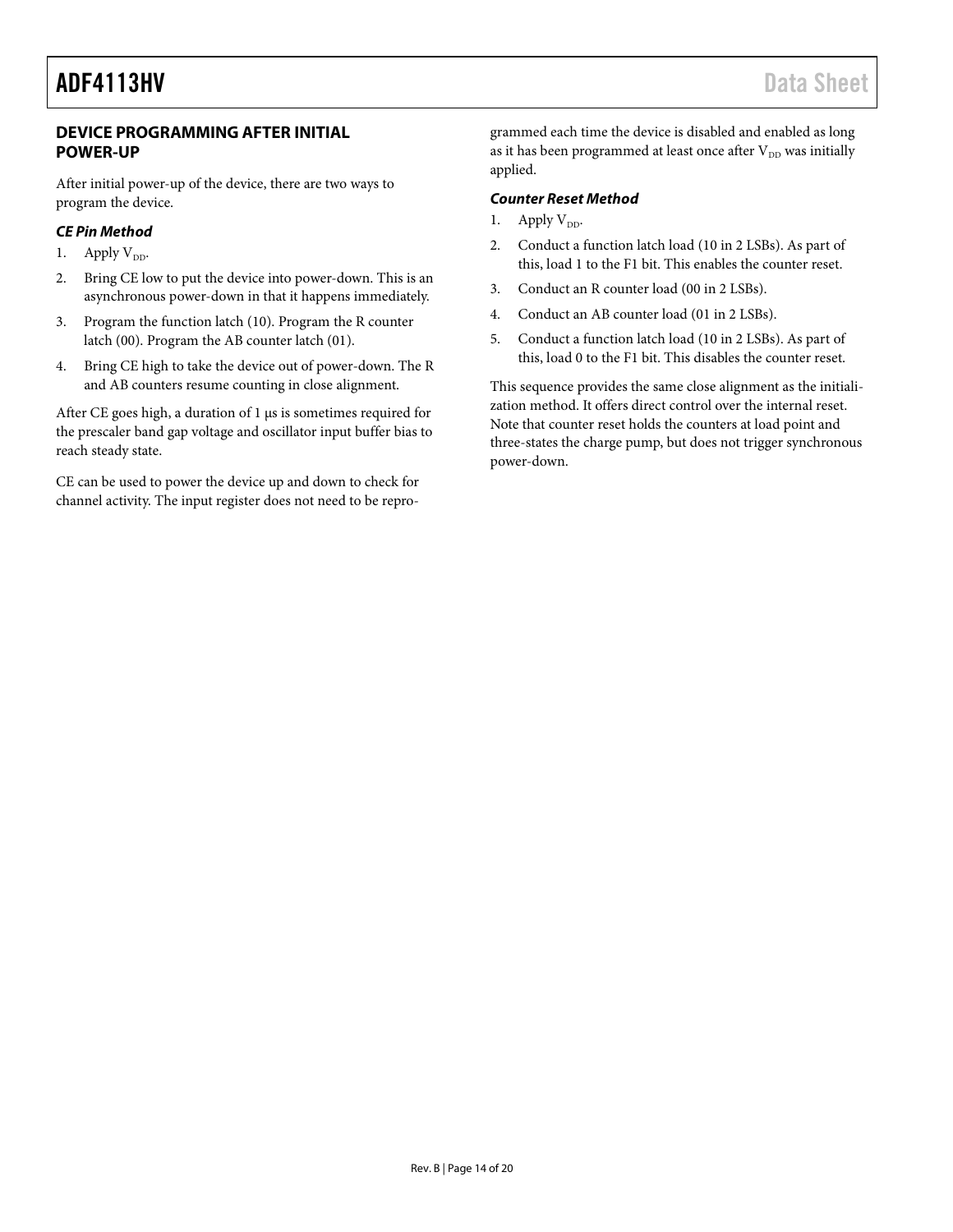### **DEVICE PROGRAMMING AFTER INITIAL POWER-UP**

After initial power-up of the device, there are two ways to program the device.

### *CE Pin Method*

- 1. Apply  $V_{DD}$ .
- 2. Bring CE low to put the device into power-down. This is an asynchronous power-down in that it happens immediately.
- 3. Program the function latch (10). Program the R counter latch (00). Program the AB counter latch (01).
- 4. Bring CE high to take the device out of power-down. The R and AB counters resume counting in close alignment.

After CE goes high, a duration of 1 µs is sometimes required for the prescaler band gap voltage and oscillator input buffer bias to reach steady state.

CE can be used to power the device up and down to check for channel activity. The input register does not need to be reprogrammed each time the device is disabled and enabled as long as it has been programmed at least once after  $V_{DD}$  was initially applied.

### *Counter Reset Method*

- 1. Apply  $V_{DD}$ .
- 2. Conduct a function latch load (10 in 2 LSBs). As part of this, load 1 to the F1 bit. This enables the counter reset.
- 3. Conduct an R counter load (00 in 2 LSBs).
- 4. Conduct an AB counter load (01 in 2 LSBs).
- 5. Conduct a function latch load (10 in 2 LSBs). As part of this, load 0 to the F1 bit. This disables the counter reset.

This sequence provides the same close alignment as the initialization method. It offers direct control over the internal reset. Note that counter reset holds the counters at load point and three-states the charge pump, but does not trigger synchronous power-down.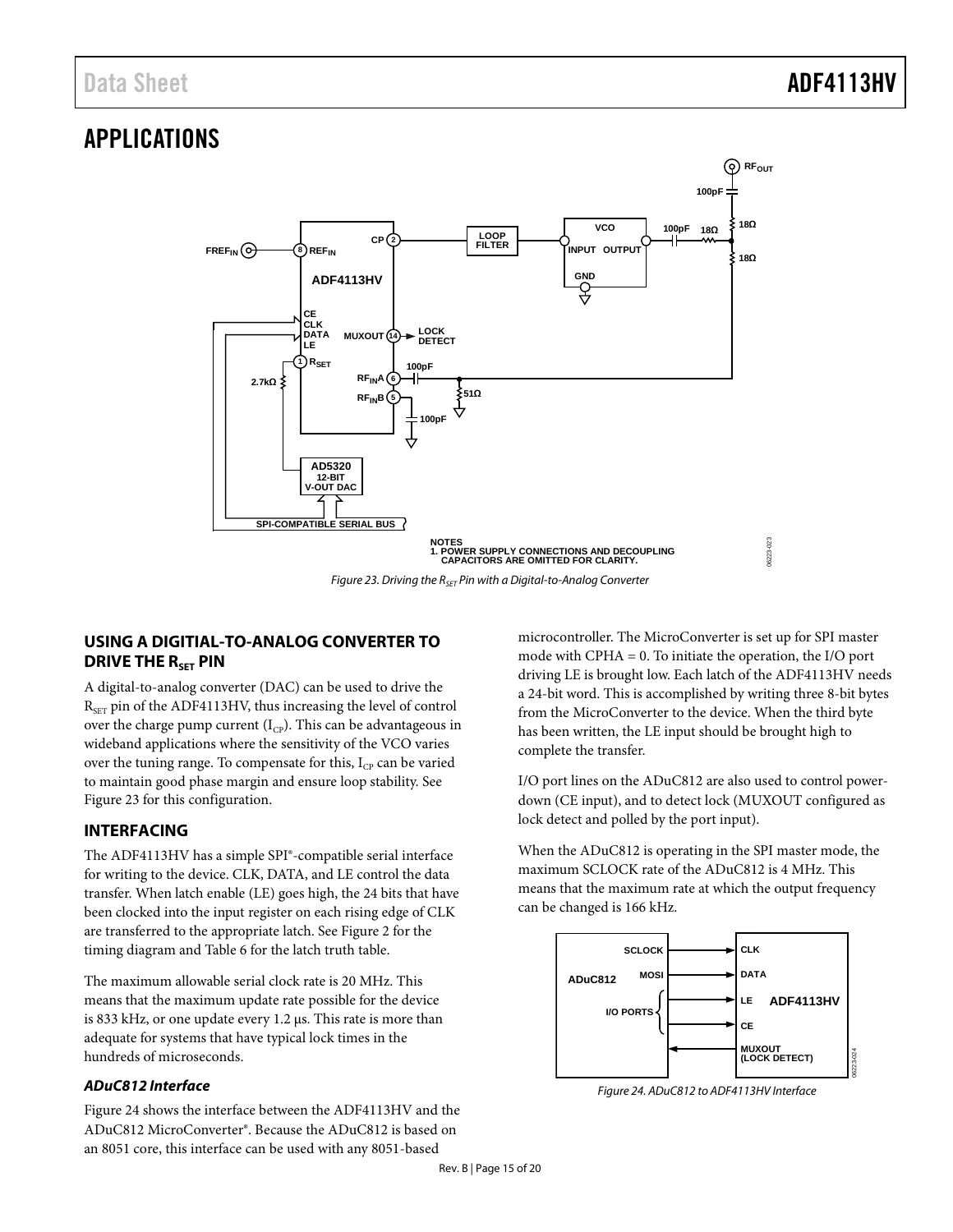# <span id="page-14-0"></span>APPLICATIONS



*Figure 23. Driving the RSET Pin with a Digital-to-Analog Converter*

# <span id="page-14-3"></span><span id="page-14-1"></span>**USING A DIGITIAL-TO-ANALOG CONVERTER TO DRIVE THE R<sub>SET</sub> PIN**

A digital-to-analog converter (DAC) can be used to drive the  $R_{\text{SET}}$  pin of the ADF4113HV, thus increasing the level of control over the charge pump current  $(I_{CP})$ . This can be advantageous in wideband applications where the sensitivity of the VCO varies over the tuning range. To compensate for this,  $I_{CP}$  can be varied to maintain good phase margin and ensure loop stability. See [Figure 23](#page-14-3) for this configuration.

# <span id="page-14-2"></span>**INTERFACING**

The ADF4113HV has a simple SPI®-compatible serial interface for writing to the device. CLK, DATA, and LE control the data transfer. When latch enable (LE) goes high, the 24 bits that have been clocked into the input register on each rising edge of CLK are transferred to the appropriate latch. Se[e Figure 2](#page-3-1) for the timing diagram an[d Table 6](#page-9-5) for the latch truth table.

The maximum allowable serial clock rate is 20 MHz. This means that the maximum update rate possible for the device is 833 kHz, or one update every 1.2 µs. This rate is more than adequate for systems that have typical lock times in the hundreds of microseconds.

# *ADuC812 Interface*

[Figure 24](#page-14-4) shows the interface between the ADF4113HV and the ADuC812 MicroConverter®. Because the ADuC812 is based on an 8051 core, this interface can be used with any 8051-based

microcontroller. The MicroConverter is set up for SPI master mode with CPHA = 0. To initiate the operation, the I/O port driving LE is brought low. Each latch of the ADF4113HV needs a 24-bit word. This is accomplished by writing three 8-bit bytes from the MicroConverter to the device. When the third byte has been written, the LE input should be brought high to complete the transfer.

I/O port lines on the ADuC812 are also used to control powerdown (CE input), and to detect lock (MUXOUT configured as lock detect and polled by the port input).

When the ADuC812 is operating in the SPI master mode, the maximum SCLOCK rate of the ADuC812 is 4 MHz. This means that the maximum rate at which the output frequency can be changed is 166 kHz.



<span id="page-14-4"></span>*Figure 24. ADuC812 to ADF4113HV Interface*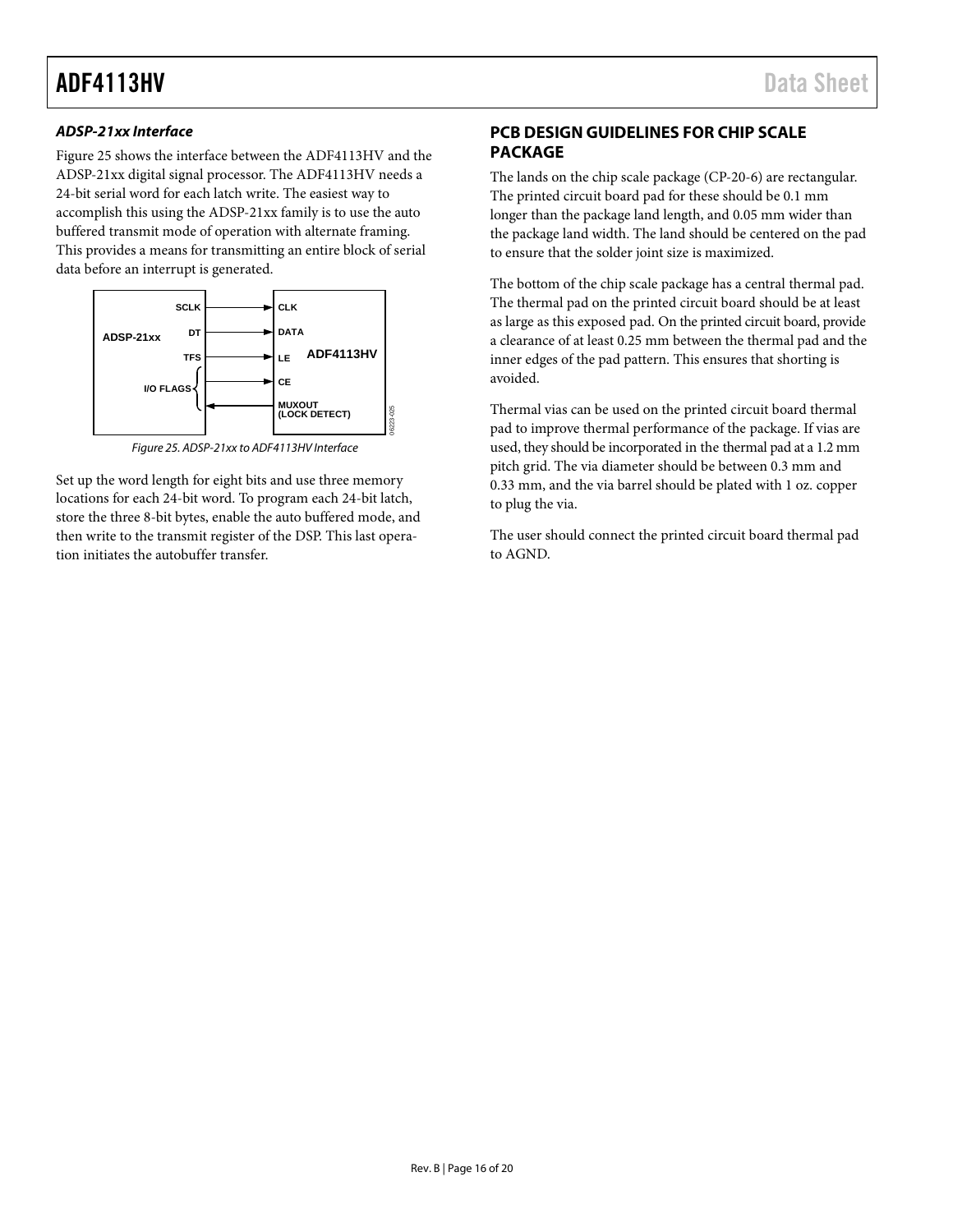### *ADSP-21xx Interface*

[Figure 25](#page-15-1) shows the interface between the ADF4113HV and the ADSP-21xx digital signal processor. The ADF4113HV needs a 24-bit serial word for each latch write. The easiest way to accomplish this using the ADSP-21xx family is to use the auto buffered transmit mode of operation with alternate framing. This provides a means for transmitting an entire block of serial data before an interrupt is generated.



*Figure 25. ADSP-21xx to ADF4113HV Interface*

<span id="page-15-1"></span>Set up the word length for eight bits and use three memory locations for each 24-bit word. To program each 24-bit latch, store the three 8-bit bytes, enable the auto buffered mode, and then write to the transmit register of the DSP. This last operation initiates the autobuffer transfer.

# <span id="page-15-0"></span>**PCB DESIGN GUIDELINES FOR CHIP SCALE PACKAGE**

The lands on the chip scale package (CP-20-6) are rectangular. The printed circuit board pad for these should be 0.1 mm longer than the package land length, and 0.05 mm wider than the package land width. The land should be centered on the pad to ensure that the solder joint size is maximized.

The bottom of the chip scale package has a central thermal pad. The thermal pad on the printed circuit board should be at least as large as this exposed pad. On the printed circuit board, provide a clearance of at least 0.25 mm between the thermal pad and the inner edges of the pad pattern. This ensures that shorting is avoided.

Thermal vias can be used on the printed circuit board thermal pad to improve thermal performance of the package. If vias are used, they should be incorporated in the thermal pad at a 1.2 mm pitch grid. The via diameter should be between 0.3 mm and 0.33 mm, and the via barrel should be plated with 1 oz. copper to plug the via.

The user should connect the printed circuit board thermal pad to AGND.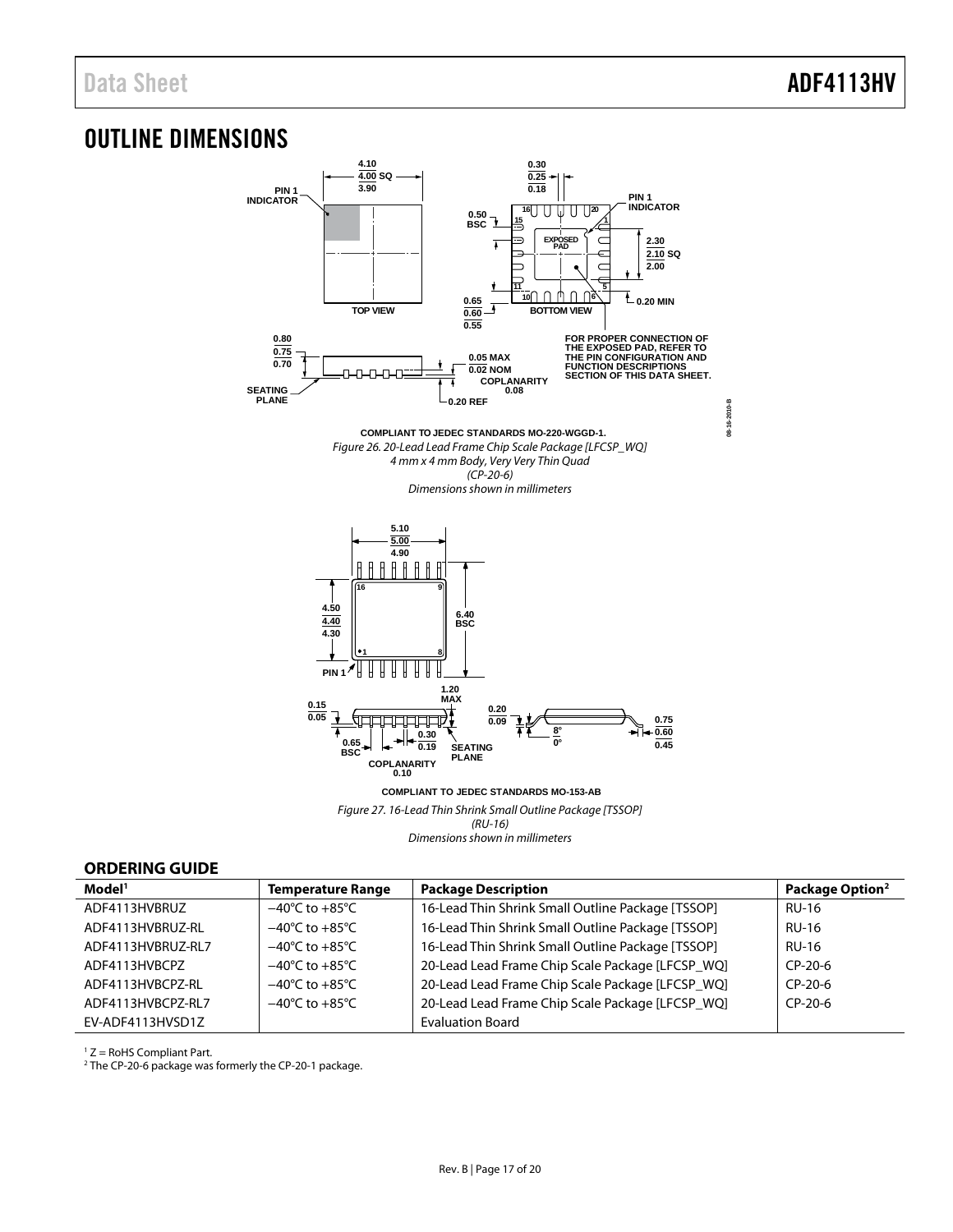# <span id="page-16-0"></span>OUTLINE DIMENSIONS



**COMPLIANT TO JEDEC STANDARDS MO-153-AB** Figure 27. 16-Lead Thin Shrink Small Outline Package [TSSOP] (RU-16) Dimensions shown in millimeters

### <span id="page-16-1"></span>**ORDERING GUIDE**

| Model <sup>1</sup> | <b>Temperature Range</b>           | <b>Package Description</b>                        | Package Option <sup>2</sup> |
|--------------------|------------------------------------|---------------------------------------------------|-----------------------------|
| ADF4113HVBRUZ      | $-40^{\circ}$ C to $+85^{\circ}$ C | 16-Lead Thin Shrink Small Outline Package [TSSOP] | <b>RU-16</b>                |
| ADF4113HVBRUZ-RL   | $-40^{\circ}$ C to $+85^{\circ}$ C | 16-Lead Thin Shrink Small Outline Package [TSSOP] | <b>RU-16</b>                |
| ADF4113HVBRUZ-RL7  | $-40^{\circ}$ C to $+85^{\circ}$ C | 16-Lead Thin Shrink Small Outline Package [TSSOP] | <b>RU-16</b>                |
| ADF4113HVBCPZ      | $-40^{\circ}$ C to $+85^{\circ}$ C | 20-Lead Lead Frame Chip Scale Package [LFCSP_WQ]  | CP-20-6                     |
| ADF4113HVBCPZ-RL   | $-40^{\circ}$ C to $+85^{\circ}$ C | 20-Lead Lead Frame Chip Scale Package [LFCSP_WQ]  | $CP-20-6$                   |
| ADF4113HVBCPZ-RL7  | $-40^{\circ}$ C to $+85^{\circ}$ C | 20-Lead Lead Frame Chip Scale Package [LFCSP_WQ]  | $CP-20-6$                   |
| EV-ADF4113HVSD1Z   |                                    | <b>Evaluation Board</b>                           |                             |

 $1 Z =$  RoHS Compliant Part.

2 The CP-20-6 package was formerly the CP-20-1 package.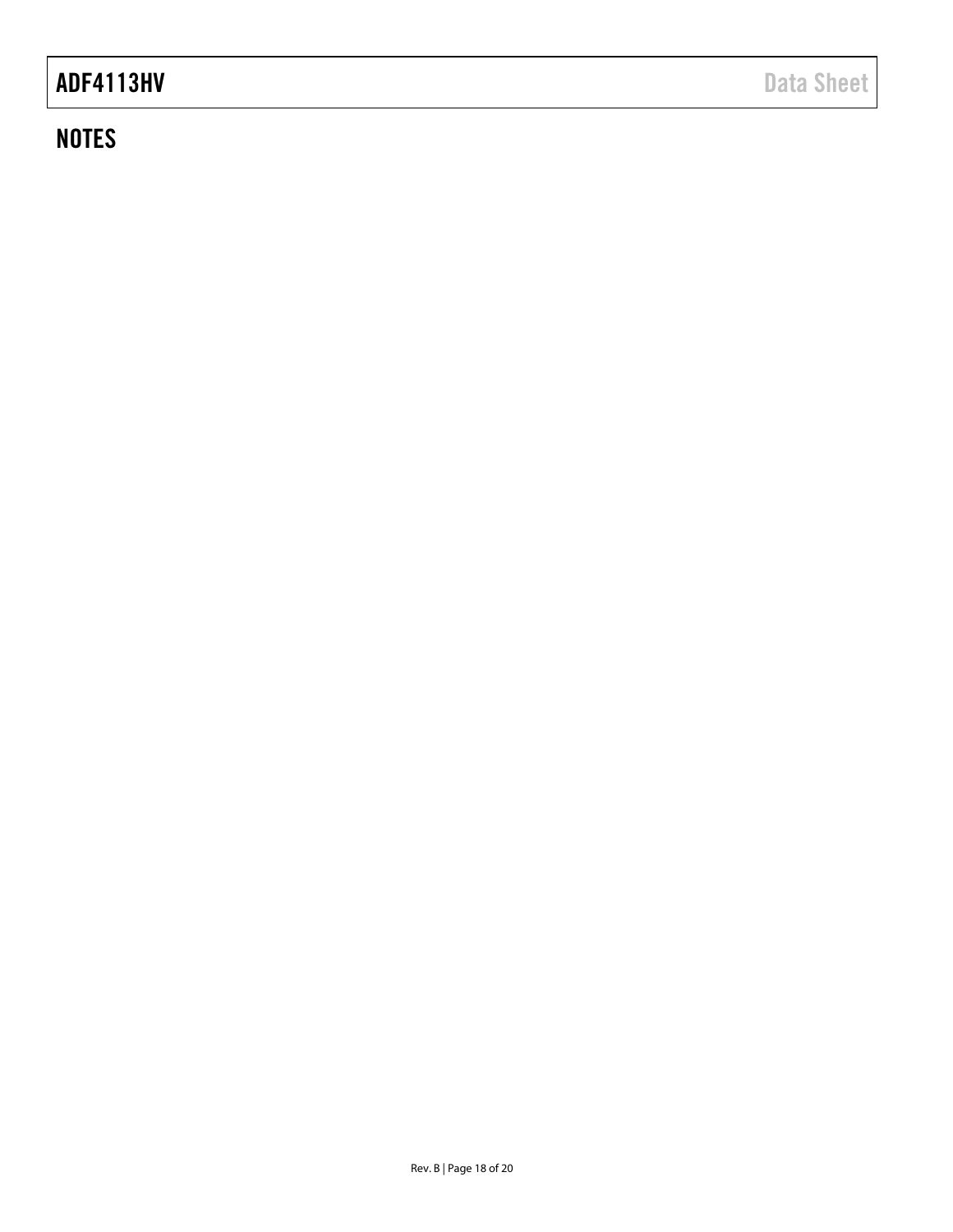# **NOTES**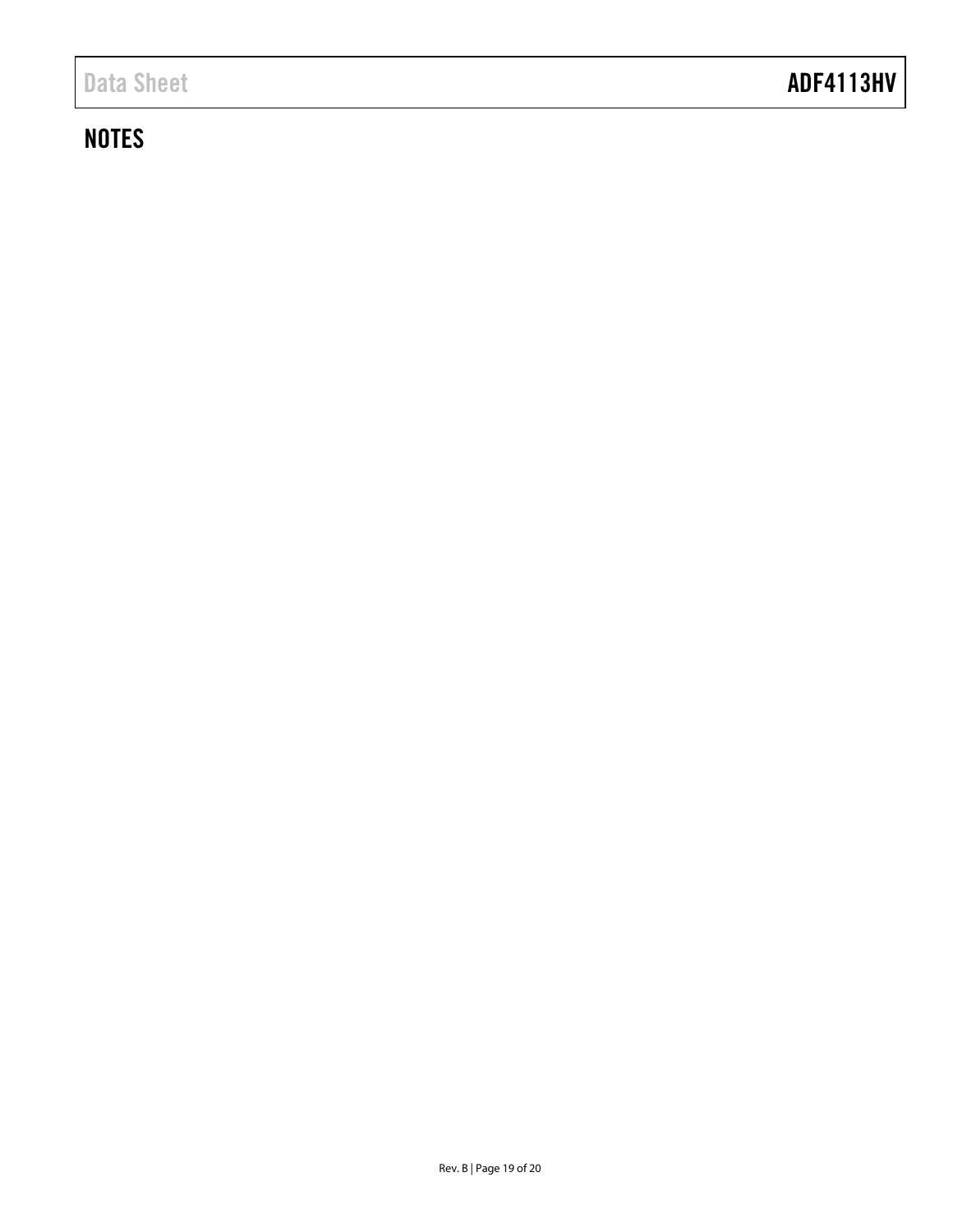# Data Sheet **ADF4113HV**

# **NOTES**